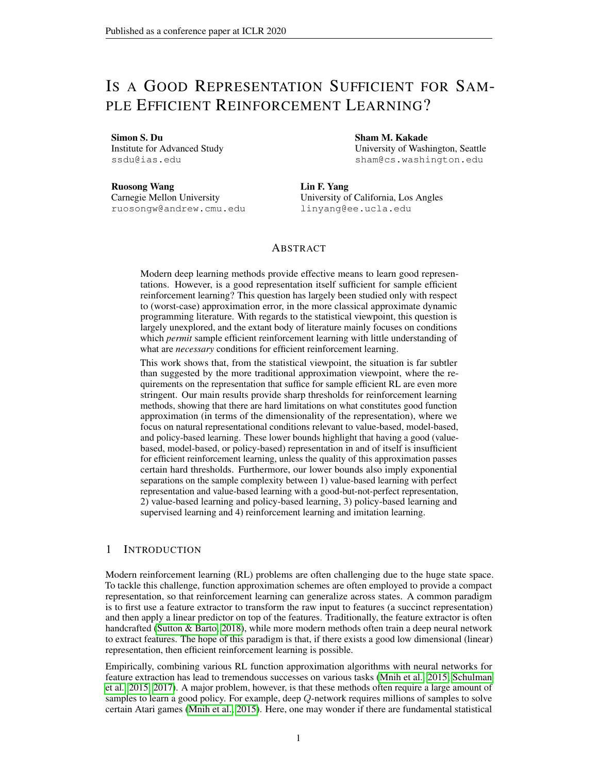# IS A GOOD REPRESENTATION SUFFICIENT FOR SAM-PLE EFFICIENT REINFORCEMENT LEARNING?

Simon S. Du

Institute for Advanced Study ssdu@ias.edu

Sham M. Kakade University of Washington, Seattle sham@cs.washington.edu

Ruosong Wang Carnegie Mellon University ruosongw@andrew.cmu.edu Lin F. Yang University of California, Los Angles linyang@ee.ucla.edu

## ABSTRACT

Modern deep learning methods provide effective means to learn good representations. However, is a good representation itself sufficient for sample efficient reinforcement learning? This question has largely been studied only with respect to (worst-case) approximation error, in the more classical approximate dynamic programming literature. With regards to the statistical viewpoint, this question is largely unexplored, and the extant body of literature mainly focuses on conditions which *permit* sample efficient reinforcement learning with little understanding of what are *necessary* conditions for efficient reinforcement learning.

This work shows that, from the statistical viewpoint, the situation is far subtler than suggested by the more traditional approximation viewpoint, where the requirements on the representation that suffice for sample efficient RL are even more stringent. Our main results provide sharp thresholds for reinforcement learning methods, showing that there are hard limitations on what constitutes good function approximation (in terms of the dimensionality of the representation), where we focus on natural representational conditions relevant to value-based, model-based, and policy-based learning. These lower bounds highlight that having a good (valuebased, model-based, or policy-based) representation in and of itself is insufficient for efficient reinforcement learning, unless the quality of this approximation passes certain hard thresholds. Furthermore, our lower bounds also imply exponential separations on the sample complexity between 1) value-based learning with perfect representation and value-based learning with a good-but-not-perfect representation, 2) value-based learning and policy-based learning, 3) policy-based learning and supervised learning and 4) reinforcement learning and imitation learning.

## 1 INTRODUCTION

Modern reinforcement learning (RL) problems are often challenging due to the huge state space. To tackle this challenge, function approximation schemes are often employed to provide a compact representation, so that reinforcement learning can generalize across states. A common paradigm is to first use a feature extractor to transform the raw input to features (a succinct representation) and then apply a linear predictor on top of the features. Traditionally, the feature extractor is often handcrafted [\(Sutton & Barto, 2018\)](#page-11-0), while more modern methods often train a deep neural network to extract features. The hope of this paradigm is that, if there exists a good low dimensional (linear) representation, then efficient reinforcement learning is possible.

Empirically, combining various RL function approximation algorithms with neural networks for feature extraction has lead to tremendous successes on various tasks [\(Mnih et al., 2015;](#page-11-1) [Schulman](#page-11-2) [et al., 2015;](#page-11-2) [2017\)](#page-11-3). A major problem, however, is that these methods often require a large amount of samples to learn a good policy. For example, deep Q-network requires millions of samples to solve certain Atari games [\(Mnih et al., 2015\)](#page-11-1). Here, one may wonder if there are fundamental statistical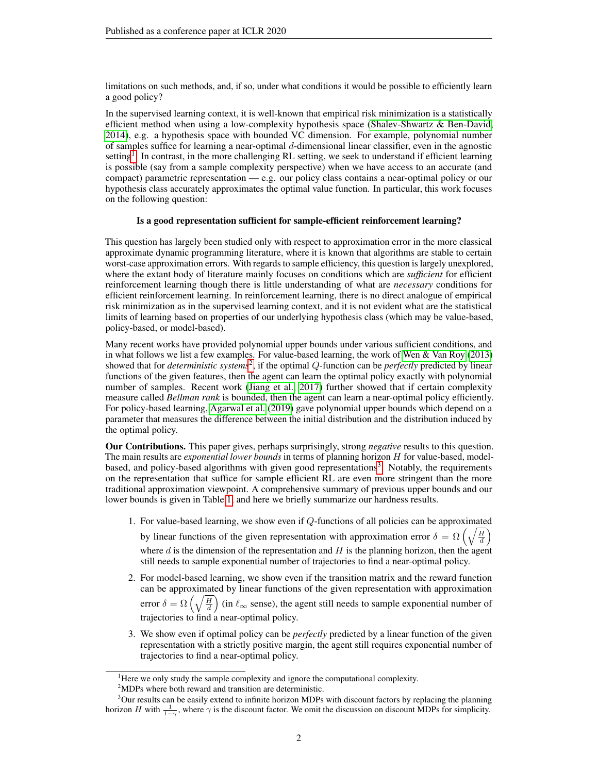limitations on such methods, and, if so, under what conditions it would be possible to efficiently learn a good policy?

In the supervised learning context, it is well-known that empirical risk minimization is a statistically efficient method when using a low-complexity hypothesis space [\(Shalev-Shwartz & Ben-David,](#page-11-4) [2014\)](#page-11-4), e.g. a hypothesis space with bounded VC dimension. For example, polynomial number of samples suffice for learning a near-optimal d-dimensional linear classifier, even in the agnostic setting<sup>[1](#page-1-0)</sup>. In contrast, in the more challenging RL setting, we seek to understand if efficient learning is possible (say from a sample complexity perspective) when we have access to an accurate (and compact) parametric representation — e.g. our policy class contains a near-optimal policy or our hypothesis class accurately approximates the optimal value function. In particular, this work focuses on the following question:

### Is a good representation sufficient for sample-efficient reinforcement learning?

This question has largely been studied only with respect to approximation error in the more classical approximate dynamic programming literature, where it is known that algorithms are stable to certain worst-case approximation errors. With regards to sample efficiency, this question is largely unexplored, where the extant body of literature mainly focuses on conditions which are *sufficient* for efficient reinforcement learning though there is little understanding of what are *necessary* conditions for efficient reinforcement learning. In reinforcement learning, there is no direct analogue of empirical risk minimization as in the supervised learning context, and it is not evident what are the statistical limits of learning based on properties of our underlying hypothesis class (which may be value-based, policy-based, or model-based).

Many recent works have provided polynomial upper bounds under various sufficient conditions, and in what follows we list a few examples. For value-based learning, the work of [Wen & Van Roy](#page-11-5) [\(2013\)](#page-11-5) showed that for *deterministic systems*[2](#page-1-1) , if the optimal Q-function can be *perfectly* predicted by linear functions of the given features, then the agent can learn the optimal policy exactly with polynomial number of samples. Recent work [\(Jiang et al., 2017\)](#page-10-0) further showed that if certain complexity measure called *Bellman rank* is bounded, then the agent can learn a near-optimal policy efficiently. For policy-based learning, [Agarwal et al.](#page-9-0) [\(2019\)](#page-9-0) gave polynomial upper bounds which depend on a parameter that measures the difference between the initial distribution and the distribution induced by the optimal policy.

Our Contributions. This paper gives, perhaps surprisingly, strong *negative* results to this question. The main results are *exponential lower bounds* in terms of planning horizon H for value-based, model-based, and policy-based algorithms with given good representations<sup>[3](#page-1-2)</sup>. Notably, the requirements on the representation that suffice for sample efficient RL are even more stringent than the more traditional approximation viewpoint. A comprehensive summary of previous upper bounds and our lower bounds is given in Table [1,](#page-3-0) and here we briefly summarize our hardness results.

- 1. For value-based learning, we show even if Q-functions of all policies can be approximated by linear functions of the given representation with approximation error  $\delta = \Omega \left( \sqrt{\frac{H}{d}} \right)$ where  $d$  is the dimension of the representation and  $H$  is the planning horizon, then the agent still needs to sample exponential number of trajectories to find a near-optimal policy.
- 2. For model-based learning, we show even if the transition matrix and the reward function can be approximated by linear functions of the given representation with approximation error  $\delta = \Omega\left(\sqrt{\frac{H}{d}}\right)$  (in  $\ell_{\infty}$  sense), the agent still needs to sample exponential number of trajectories to find a near-optimal policy.
- 3. We show even if optimal policy can be *perfectly* predicted by a linear function of the given representation with a strictly positive margin, the agent still requires exponential number of trajectories to find a near-optimal policy.

<span id="page-1-0"></span><sup>&</sup>lt;sup>1</sup>Here we only study the sample complexity and ignore the computational complexity.

<span id="page-1-2"></span><span id="page-1-1"></span><sup>2</sup>MDPs where both reward and transition are deterministic.

<sup>&</sup>lt;sup>3</sup>Our results can be easily extend to infinite horizon MDPs with discount factors by replacing the planning horizon H with  $\frac{1}{1-\gamma}$ , where  $\gamma$  is the discount factor. We omit the discussion on discount MDPs for simplicity.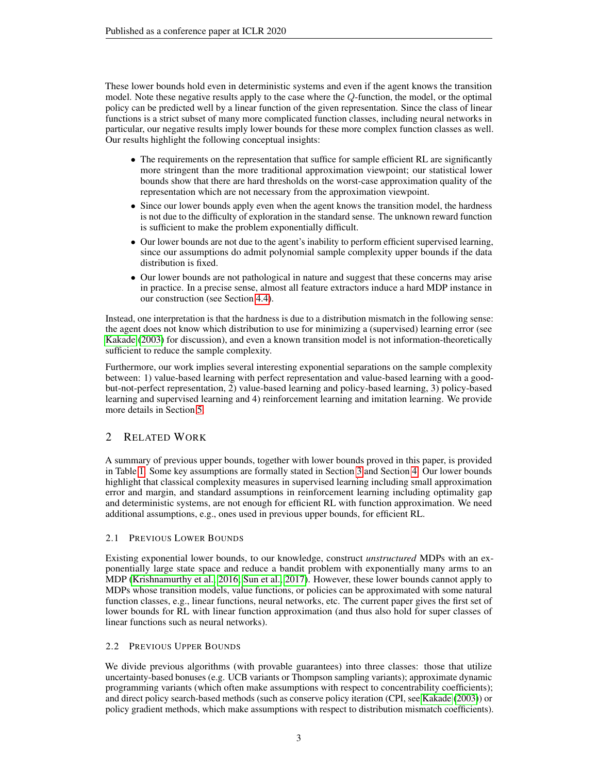These lower bounds hold even in deterministic systems and even if the agent knows the transition model. Note these negative results apply to the case where the Q-function, the model, or the optimal policy can be predicted well by a linear function of the given representation. Since the class of linear functions is a strict subset of many more complicated function classes, including neural networks in particular, our negative results imply lower bounds for these more complex function classes as well. Our results highlight the following conceptual insights:

- The requirements on the representation that suffice for sample efficient RL are significantly more stringent than the more traditional approximation viewpoint; our statistical lower bounds show that there are hard thresholds on the worst-case approximation quality of the representation which are not necessary from the approximation viewpoint.
- Since our lower bounds apply even when the agent knows the transition model, the hardness is not due to the difficulty of exploration in the standard sense. The unknown reward function is sufficient to make the problem exponentially difficult.
- Our lower bounds are not due to the agent's inability to perform efficient supervised learning, since our assumptions do admit polynomial sample complexity upper bounds if the data distribution is fixed.
- Our lower bounds are not pathological in nature and suggest that these concerns may arise in practice. In a precise sense, almost all feature extractors induce a hard MDP instance in our construction (see Section [4.4\)](#page-7-0).

Instead, one interpretation is that the hardness is due to a distribution mismatch in the following sense: the agent does not know which distribution to use for minimizing a (supervised) learning error (see [Kakade](#page-10-1) [\(2003\)](#page-10-1) for discussion), and even a known transition model is not information-theoretically sufficient to reduce the sample complexity.

Furthermore, our work implies several interesting exponential separations on the sample complexity between: 1) value-based learning with perfect representation and value-based learning with a goodbut-not-perfect representation, 2) value-based learning and policy-based learning, 3) policy-based learning and supervised learning and 4) reinforcement learning and imitation learning. We provide more details in Section [5.](#page-8-0)

# <span id="page-2-0"></span>2 RELATED WORK

A summary of previous upper bounds, together with lower bounds proved in this paper, is provided in Table [1.](#page-3-0) Some key assumptions are formally stated in Section [3](#page-4-0) and Section [4.](#page-6-0) Our lower bounds highlight that classical complexity measures in supervised learning including small approximation error and margin, and standard assumptions in reinforcement learning including optimality gap and deterministic systems, are not enough for efficient RL with function approximation. We need additional assumptions, e.g., ones used in previous upper bounds, for efficient RL.

## 2.1 PREVIOUS LOWER BOUNDS

Existing exponential lower bounds, to our knowledge, construct *unstructured* MDPs with an exponentially large state space and reduce a bandit problem with exponentially many arms to an MDP [\(Krishnamurthy et al., 2016;](#page-10-2) [Sun et al., 2017\)](#page-11-6). However, these lower bounds cannot apply to MDPs whose transition models, value functions, or policies can be approximated with some natural function classes, e.g., linear functions, neural networks, etc. The current paper gives the first set of lower bounds for RL with linear function approximation (and thus also hold for super classes of linear functions such as neural networks).

## 2.2 PREVIOUS UPPER BOUNDS

We divide previous algorithms (with provable guarantees) into three classes: those that utilize uncertainty-based bonuses (e.g. UCB variants or Thompson sampling variants); approximate dynamic programming variants (which often make assumptions with respect to concentrability coefficients); and direct policy search-based methods (such as conserve policy iteration (CPI, see [Kakade](#page-10-1) [\(2003\)](#page-10-1)) or policy gradient methods, which make assumptions with respect to distribution mismatch coefficients).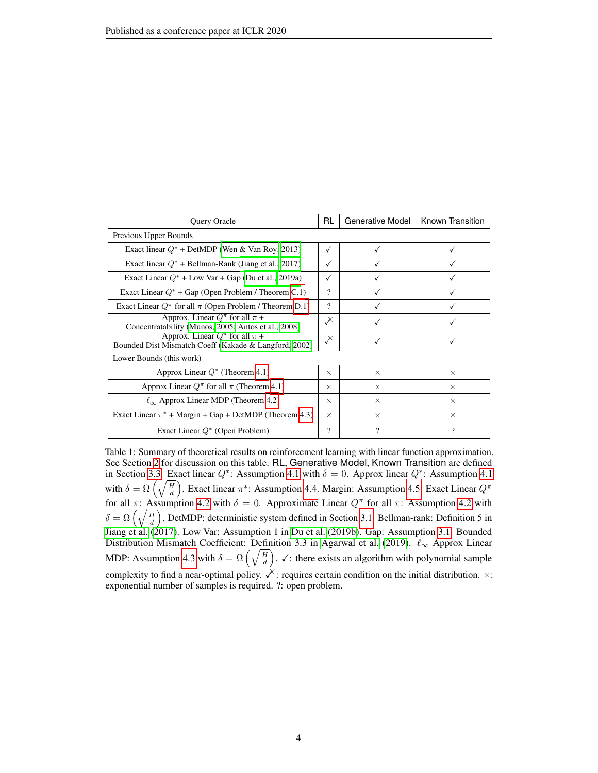<span id="page-3-0"></span>

| <b>Query Oracle</b>                                                                               | RL.          | Generative Model | Known Transition |
|---------------------------------------------------------------------------------------------------|--------------|------------------|------------------|
| Previous Upper Bounds                                                                             |              |                  |                  |
| Exact linear $Q^*$ + DetMDP (Wen & Van Roy, 2013)                                                 | $\checkmark$ |                  |                  |
| Exact linear $Q^*$ + Bellman-Rank (Jiang et al., 2017)                                            | ✓            |                  |                  |
| Exact Linear $Q^*$ + Low Var + Gap (Du et al., 2019a)                                             | ✓            |                  |                  |
| Exact Linear $Q^*$ + Gap (Open Problem / Theorem C.1)                                             | ?            |                  |                  |
| Exact Linear $Q^{\pi}$ for all $\pi$ (Open Problem / Theorem D.1)                                 | ?            |                  |                  |
| Approx. Linear $Q^{\pi}$ for all $\pi$ +<br>Concentratability (Munos, 2005; Antos et al., 2008)   | 乄            |                  |                  |
| Approx. Linear $Q^{\pi}$ for all $\pi$ +<br>Bounded Dist Mismatch Coeff (Kakade & Langford, 2002) | $\chi$       |                  |                  |
| Lower Bounds (this work)                                                                          |              |                  |                  |
| Approx Linear $Q^*$ (Theorem 4.1)                                                                 | $\times$     | $\times$         | $\times$         |
| Approx Linear $Q^{\pi}$ for all $\pi$ (Theorem 4.1)                                               | $\times$     | $\times$         | $\times$         |
| $\ell_{\infty}$ Approx Linear MDP (Theorem 4.2)                                                   | $\times$     | $\times$         | $\times$         |
| Exact Linear $\pi^*$ + Margin + Gap + DetMDP (Theorem 4.3)                                        | $\times$     | $\times$         | $\times$         |
| Exact Linear $Q^*$ (Open Problem)                                                                 | ?            | 9                | ?                |

Table 1: Summary of theoretical results on reinforcement learning with linear function approximation. See Section [2](#page-2-0) for discussion on this table. RL, Generative Model, Known Transition are defined in Section [3.3.](#page-5-0) Exact linear  $Q^*$ : Assumption [4.1](#page-6-2) with  $\delta = 0$ . Approx linear  $Q^*$ : Assumption 4.1 with  $\delta = \Omega\left(\sqrt{\frac{H}{d}}\right)$ . Exact linear  $\pi^*$ : Assumption [4.4.](#page-7-3) Margin: Assumption [4.5.](#page-7-4) Exact Linear  $Q^{\pi}$ for all π: Assumption [4.2](#page-6-3) with  $\delta = 0$ . Approximate Linear  $Q^{\pi}$  for all π: Assumption 4.2 with  $\delta = \Omega\left(\sqrt{\frac{H}{d}}\right)$ . DetMDP: deterministic system defined in Section [3.1.](#page-5-1) Bellman-rank: Definition 5 in [Jiang et al.](#page-10-0) [\(2017\)](#page-10-0). Low Var: Assumption 1 in [Du et al.](#page-10-5) [\(2019b\)](#page-10-5). Gap: Assumption [3.1.](#page-5-2) Bounded Distribution Mismatch Coefficient: Definition 3.3 in [Agarwal et al.](#page-9-0) [\(2019\)](#page-9-0).  $\ell_{\infty}$  Approx Linear MDP: Assumption [4.3](#page-6-4) with  $\delta = \Omega\left(\sqrt{\frac{H}{d}}\right)$ .  $\checkmark$ : there exists an algorithm with polynomial sample complexity to find a near-optimal policy.  $\chi$ : requires certain condition on the initial distribution.  $\times$ : exponential number of samples is required. ?: open problem.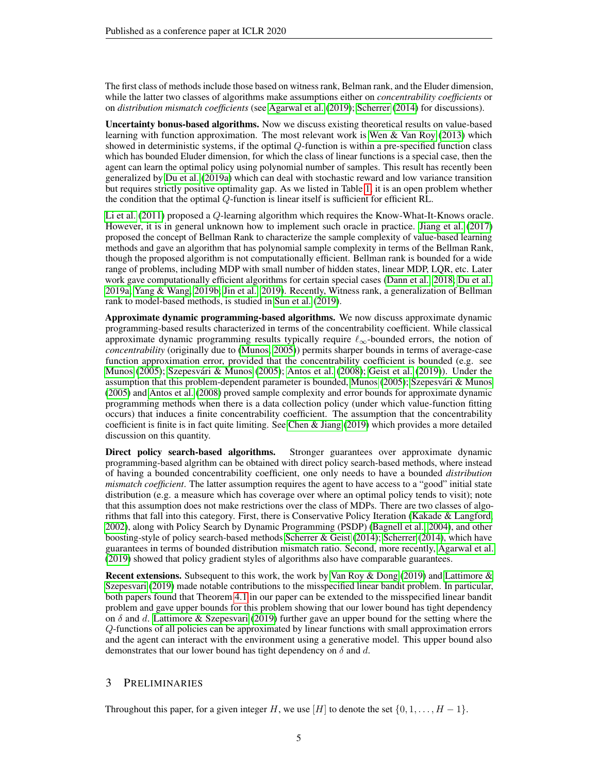The first class of methods include those based on witness rank, Belman rank, and the Eluder dimension, while the latter two classes of algorithms make assumptions either on *concentrability coefficients* or on *distribution mismatch coefficients* (see [Agarwal et al.](#page-9-0) [\(2019\)](#page-9-0); [Scherrer](#page-11-8) [\(2014\)](#page-11-8) for discussions).

Uncertainty bonus-based algorithms. Now we discuss existing theoretical results on value-based learning with function approximation. The most relevant work is [Wen & Van Roy](#page-11-5) [\(2013\)](#page-11-5) which showed in deterministic systems, if the optimal Q-function is within a pre-specified function class which has bounded Eluder dimension, for which the class of linear functions is a special case, then the agent can learn the optimal policy using polynomial number of samples. This result has recently been generalized by [Du et al.](#page-10-3) [\(2019a\)](#page-10-3) which can deal with stochastic reward and low variance transition but requires strictly positive optimality gap. As we listed in Table [1,](#page-3-0) it is an open problem whether the condition that the optimal Q-function is linear itself is sufficient for efficient RL.

[Li et al.](#page-10-6) [\(2011\)](#page-10-6) proposed a Q-learning algorithm which requires the Know-What-It-Knows oracle. However, it is in general unknown how to implement such oracle in practice. [Jiang et al.](#page-10-0) [\(2017\)](#page-10-0) proposed the concept of Bellman Rank to characterize the sample complexity of value-based learning methods and gave an algorithm that has polynomial sample complexity in terms of the Bellman Rank, though the proposed algorithm is not computationally efficient. Bellman rank is bounded for a wide range of problems, including MDP with small number of hidden states, linear MDP, LQR, etc. Later work gave computationally efficient algorithms for certain special cases [\(Dann et al., 2018;](#page-10-7) [Du et al.,](#page-10-3) [2019a;](#page-10-3) [Yang & Wang, 2019b;](#page-11-9) [Jin et al., 2019\)](#page-10-8). Recently, Witness rank, a generalization of Bellman rank to model-based methods, is studied in [Sun et al.](#page-11-10) [\(2019\)](#page-11-10).

Approximate dynamic programming-based algorithms. We now discuss approximate dynamic programming-based results characterized in terms of the concentrability coefficient. While classical approximate dynamic programming results typically require  $\ell_{\infty}$ -bounded errors, the notion of *concentrability* (originally due to [\(Munos, 2005\)](#page-11-7)) permits sharper bounds in terms of average-case function approximation error, provided that the concentrability coefficient is bounded (e.g. see [Munos](#page-11-7) [\(2005\)](#page-11-11); Szepesvári & Munos (2005); [Antos et al.](#page-9-1) [\(2008\)](#page-9-1); [Geist et al.](#page-10-9) [\(2019\)](#page-10-9)). Under the assumption that this problem-dependent parameter is bounded, [Munos](#page-11-7) [\(2005\)](#page-11-7); Szepesvári & Munos [\(2005\)](#page-11-11) and [Antos et al.](#page-9-1) [\(2008\)](#page-9-1) proved sample complexity and error bounds for approximate dynamic programming methods when there is a data collection policy (under which value-function fitting occurs) that induces a finite concentrability coefficient. The assumption that the concentrability coefficient is finite is in fact quite limiting. See [Chen & Jiang](#page-10-10) [\(2019\)](#page-10-10) which provides a more detailed discussion on this quantity.

Direct policy search-based algorithms. Stronger guarantees over approximate dynamic programming-based algrithm can be obtained with direct policy search-based methods, where instead of having a bounded concentrability coefficient, one only needs to have a bounded *distribution mismatch coefficient*. The latter assumption requires the agent to have access to a "good" initial state distribution (e.g. a measure which has coverage over where an optimal policy tends to visit); note that this assumption does not make restrictions over the class of MDPs. There are two classes of algorithms that fall into this category. First, there is Conservative Policy Iteration [\(Kakade & Langford,](#page-10-4) [2002\)](#page-10-4), along with Policy Search by Dynamic Programming (PSDP) [\(Bagnell et al., 2004\)](#page-9-2), and other boosting-style of policy search-based methods [Scherrer & Geist](#page-11-12) [\(2014\)](#page-11-12); [Scherrer](#page-11-8) [\(2014\)](#page-11-8), which have guarantees in terms of bounded distribution mismatch ratio. Second, more recently, [Agarwal et al.](#page-9-0) [\(2019\)](#page-9-0) showed that policy gradient styles of algorithms also have comparable guarantees.

Recent extensions. Subsequent to this work, the work by [Van Roy & Dong](#page-11-13) [\(2019\)](#page-11-13) and [Lattimore &](#page-10-11) [Szepesvari](#page-10-11) [\(2019\)](#page-10-11) made notable contributions to the misspecified linear bandit problem. In particular, both papers found that Theorem [4.1](#page-6-1) in our paper can be extended to the misspecified linear bandit problem and gave upper bounds for this problem showing that our lower bound has tight dependency on  $\delta$  and d. [Lattimore & Szepesvari](#page-10-11) [\(2019\)](#page-10-11) further gave an upper bound for the setting where the Q-functions of all policies can be approximated by linear functions with small approximation errors and the agent can interact with the environment using a generative model. This upper bound also demonstrates that our lower bound has tight dependency on  $\delta$  and d.

## <span id="page-4-0"></span>3 PRELIMINARIES

Throughout this paper, for a given integer H, we use [H] to denote the set  $\{0, 1, \ldots, H-1\}$ .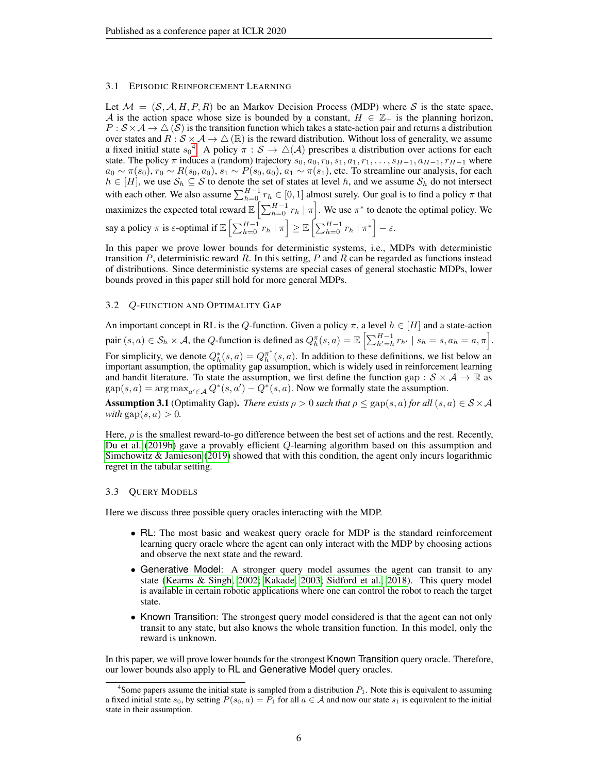#### <span id="page-5-1"></span>3.1 EPISODIC REINFORCEMENT LEARNING

Let  $\mathcal{M} = (\mathcal{S}, \mathcal{A}, H, P, R)$  be an Markov Decision Process (MDP) where S is the state space, A is the action space whose size is bounded by a constant,  $H \in \mathbb{Z}_+$  is the planning horizon,  $P : S \times A \to \triangle(S)$  is the transition function which takes a state-action pair and returns a distribution over states and  $R : S \times A \to \triangle (\mathbb{R})$  is the reward distribution. Without loss of generality, we assume a fixed initial state  $s_0^4$  $s_0^4$ . A policy  $\pi : S \to \triangle(A)$  prescribes a distribution over actions for each state. The policy  $\pi$  induces a (random) trajectory  $s_0, a_0, r_0, s_1, a_1, r_1, \ldots, s_{H-1}, a_{H-1}, r_{H-1}$  where  $a_0 \sim \pi(s_0)$ ,  $r_0 \sim R(s_0, a_0)$ ,  $s_1 \sim P(s_0, a_0)$ ,  $a_1 \sim \pi(s_1)$ , etc. To streamline our analysis, for each  $h \in [H]$ , we use  $S_h \subseteq S$  to denote the set of states at level h, and we assume  $S_h$  do not intersect with each other. We also assume  $\sum_{h=0}^{H-1} r_h \in [0, 1]$  almost surely. Our goal is to find a policy  $\pi$  that maximizes the expected total reward  $\mathbb{E}\left[\sum_{h=0}^{H-1} r_h \mid \pi\right]$ . We use  $\pi^*$  to denote the optimal policy. We say a policy  $\pi$  is  $\varepsilon$ -optimal if  $\mathbb{E}\left[\sum_{h=0}^{H-1} r_h | \pi \right] \ge \mathbb{E}\left[\sum_{h=0}^{H-1} r_h | \pi^* \right] - \varepsilon$ .

In this paper we prove lower bounds for deterministic systems, i.e., MDPs with deterministic transition P, deterministic reward R. In this setting, P and R can be regarded as functions instead of distributions. Since deterministic systems are special cases of general stochastic MDPs, lower bounds proved in this paper still hold for more general MDPs.

#### 3.2 Q-FUNCTION AND OPTIMALITY GAP

An important concept in RL is the Q-function. Given a policy  $\pi$ , a level  $h \in [H]$  and a state-action pair  $(s, a) \in \mathcal{S}_h \times \mathcal{A}$ , the Q-function is defined as  $Q_h^{\pi}(s, a) = \mathbb{E} \left[ \sum_{h'=h}^{H-1} r_{h'} \mid s_h = s, a_h = a, \pi \right]$ . For simplicity, we denote  $Q_h^*(s, a) = Q_h^{\pi^*}(s, a)$ . In addition to these definitions, we list below an important assumption, the optimality gap assumption, which is widely used in reinforcement learning and bandit literature. To state the assumption, we first define the function gap :  $S \times A \rightarrow \mathbb{R}$  as  $\text{gap}(s, a) = \arg \max_{a' \in \mathcal{A}} Q^*(s, a') - Q^*(s, a)$ . Now we formally state the assumption.

<span id="page-5-2"></span>**Assumption 3.1** (Optimality Gap). *There exists*  $\rho > 0$  *such that*  $\rho \leq$  gap(s, a) *for all* (s, a)  $\in S \times A$ *with*  $\text{gap}(s, a) > 0$ .

Here,  $\rho$  is the smallest reward-to-go difference between the best set of actions and the rest. Recently, [Du et al.](#page-10-5) [\(2019b\)](#page-10-5) gave a provably efficient Q-learning algorithm based on this assumption and [Simchowitz & Jamieson](#page-11-14) [\(2019\)](#page-11-14) showed that with this condition, the agent only incurs logarithmic regret in the tabular setting.

#### <span id="page-5-0"></span>3.3 QUERY MODELS

Here we discuss three possible query oracles interacting with the MDP.

- RL: The most basic and weakest query oracle for MDP is the standard reinforcement learning query oracle where the agent can only interact with the MDP by choosing actions and observe the next state and the reward.
- Generative Model: A stronger query model assumes the agent can transit to any state [\(Kearns & Singh, 2002;](#page-10-12) [Kakade, 2003;](#page-10-1) [Sidford et al., 2018\)](#page-11-15). This query model is available in certain robotic applications where one can control the robot to reach the target state.
- Known Transition: The strongest query model considered is that the agent can not only transit to any state, but also knows the whole transition function. In this model, only the reward is unknown.

In this paper, we will prove lower bounds for the strongest Known Transition query oracle. Therefore, our lower bounds also apply to RL and Generative Model query oracles.

<span id="page-5-3"></span><sup>&</sup>lt;sup>4</sup>Some papers assume the initial state is sampled from a distribution  $P_1$ . Note this is equivalent to assuming a fixed initial state  $s_0$ , by setting  $P(s_0, a) = P_1$  for all  $a \in A$  and now our state  $s_1$  is equivalent to the initial state in their assumption.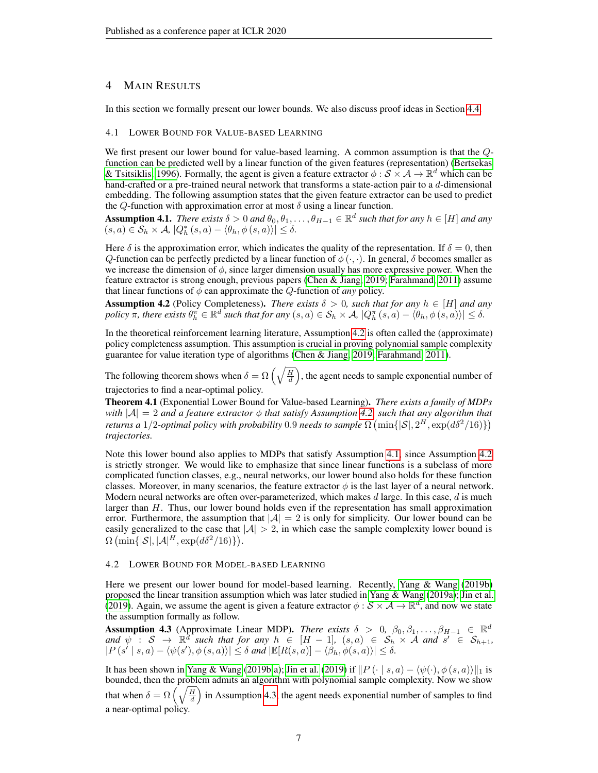### <span id="page-6-0"></span>4 MAIN RESULTS

In this section we formally present our lower bounds. We also discuss proof ideas in Section [4.4.](#page-7-0)

## 4.1 LOWER BOUND FOR VALUE-BASED LEARNING

We first present our lower bound for value-based learning. A common assumption is that the  $Q$ function can be predicted well by a linear function of the given features (representation) [\(Bertsekas](#page-10-13) [& Tsitsiklis, 1996\)](#page-10-13). Formally, the agent is given a feature extractor  $\phi$  :  $\mathcal{S} \times \mathcal{A} \to \mathbb{R}^d$  which can be hand-crafted or a pre-trained neural network that transforms a state-action pair to a d-dimensional embedding. The following assumption states that the given feature extractor can be used to predict the Q-function with approximation error at most  $\delta$  using a linear function.

<span id="page-6-2"></span>Assumption 4.1. *There exists*  $\delta > 0$  *and*  $\theta_0, \theta_1, \dots, \theta_{H-1} \in \mathbb{R}^d$  *such that for any*  $h \in [H]$  *and any*  $(s, a) \in S_h \times A$ ,  $|Q_h^*(s, a) - \langle \theta_h, \phi(s, a) \rangle| \le \delta$ .

Here  $\delta$  is the approximation error, which indicates the quality of the representation. If  $\delta = 0$ , then Q-function can be perfectly predicted by a linear function of  $\phi(\cdot, \cdot)$ . In general,  $\delta$  becomes smaller as we increase the dimension of  $\phi$ , since larger dimension usually has more expressive power. When the feature extractor is strong enough, previous papers [\(Chen & Jiang, 2019;](#page-10-10) [Farahmand, 2011\)](#page-10-14) assume that linear functions of  $\phi$  can approximate the Q-function of *any* policy.

<span id="page-6-3"></span>**Assumption 4.2** (Policy Completeness). *There exists*  $\delta > 0$ , such that for any  $h \in [H]$  and any  $policy \nrightarrow \pi$ , there exists  $\theta_h^{\pi} \in \mathbb{R}^d$  such that for any  $(s, a) \in \mathcal{S}_h \times \mathcal{A}$ ,  $|Q_h^{\pi}(s, a) - \langle \theta_h, \phi(s, a) \rangle| \le \delta$ .

In the theoretical reinforcement learning literature, Assumption [4.2](#page-6-3) is often called the (approximate) policy completeness assumption. This assumption is crucial in proving polynomial sample complexity guarantee for value iteration type of algorithms [\(Chen & Jiang, 2019;](#page-10-10) [Farahmand, 2011\)](#page-10-14).

The following theorem shows when  $\delta = \Omega\left(\sqrt{\frac{H}{d}}\right)$ , the agent needs to sample exponential number of trajectories to find a near-optimal policy.

<span id="page-6-1"></span>Theorem 4.1 (Exponential Lower Bound for Value-based Learning). *There exists a family of MDPs with*  $|A| = 2$  *and a feature extractor*  $\phi$  *that satisfy Assumption [4.2,](#page-6-3) such that any algorithm that returns a*  $1/2$ -optimal policy with probability 0.9 needs to sample  $\Omega$   $(\min\{|\mathcal{S}|, 2^H, \exp(d\delta^2/16)\})$ *trajectories.*

Note this lower bound also applies to MDPs that satisfy Assumption [4.1,](#page-6-2) since Assumption [4.2](#page-6-3) is strictly stronger. We would like to emphasize that since linear functions is a subclass of more complicated function classes, e.g., neural networks, our lower bound also holds for these function classes. Moreover, in many scenarios, the feature extractor  $\phi$  is the last layer of a neural network. Modern neural networks are often over-parameterized, which makes d large. In this case, d is much larger than  $H$ . Thus, our lower bound holds even if the representation has small approximation error. Furthermore, the assumption that  $|\mathcal{A}| = 2$  is only for simplicity. Our lower bound can be easily generalized to the case that  $|A| > 2$ , in which case the sample complexity lower bound is  $\Omega \left( \min\{|\mathcal{S}|, |\mathcal{A}|^{H}, \exp(d\delta^2/16)\} \right).$ 

#### 4.2 LOWER BOUND FOR MODEL-BASED LEARNING

Here we present our lower bound for model-based learning. Recently, [Yang & Wang](#page-11-9) [\(2019b\)](#page-11-9) proposed the linear transition assumption which was later studied in [Yang & Wang](#page-11-16) [\(2019a\)](#page-11-16); [Jin et al.](#page-10-8) [\(2019\)](#page-10-8). Again, we assume the agent is given a feature extractor  $\phi : \mathcal{S} \times \mathcal{A} \to \mathbb{R}^d$ , and now we state the assumption formally as follow.

<span id="page-6-4"></span>Assumption 4.3 (Approximate Linear MDP). *There exists*  $\delta > 0, \beta_0, \beta_1, \ldots, \beta_{H-1} \in \mathbb{R}^d$ and  $\psi$  :  $S \to \mathbb{R}^d$  such that for any  $h \in [H-1]$ ,  $(s, a) \in S_h \times A$  and  $s' \in S_{h+1}$ ,  $|P(s' \mid s,a) - \langle \psi(s'), \phi(s,a) \rangle| \leq \delta$  and  $|\mathbb{E}[R(s,a)] - \langle \beta_h, \phi(s,a) \rangle| \leq \delta$ .

It has been shown in [Yang & Wang](#page-11-9) [\(2019b;](#page-11-9)[a\)](#page-11-16); [Jin et al.](#page-10-8) [\(2019\)](#page-10-8) if  $||P(\cdot | s, a) - \langle \psi(\cdot), \phi(s, a) \rangle||_1$  is bounded, then the problem admits an algorithm with polynomial sample complexity. Now we show that when  $\delta = \Omega\left(\sqrt{\frac{H}{d}}\right)$  in Assumption [4.3,](#page-6-4) the agent needs exponential number of samples to find a near-optimal policy.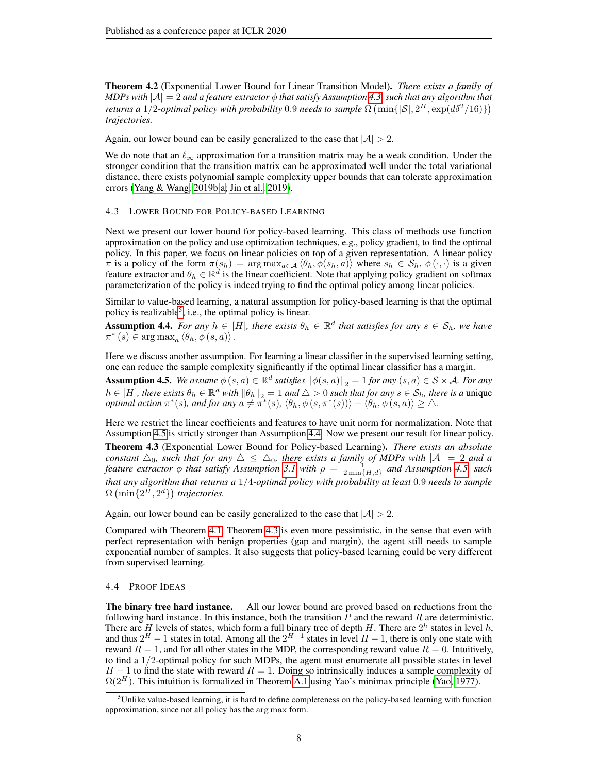<span id="page-7-1"></span>Theorem 4.2 (Exponential Lower Bound for Linear Transition Model). *There exists a family of MDPs with*  $|A| = 2$  *and a feature extractor*  $\phi$  *that satisfy Assumption* [4.3,](#page-6-4) *such that any algorithm that returns a*  $1/2$ *-optimal policy with probability* 0.9 *needs to sample*  $\Omega$   $(\min\{|\mathcal{S}|, 2^H, \exp(d\delta^2/16)\})$ *trajectories.*

Again, our lower bound can be easily generalized to the case that  $|A| > 2$ .

We do note that an  $\ell_{\infty}$  approximation for a transition matrix may be a weak condition. Under the stronger condition that the transition matrix can be approximated well under the total variational distance, there exists polynomial sample complexity upper bounds that can tolerate approximation errors [\(Yang & Wang, 2019b](#page-11-9)[;a;](#page-11-16) [Jin et al., 2019\)](#page-10-8).

#### 4.3 LOWER BOUND FOR POLICY-BASED LEARNING

Next we present our lower bound for policy-based learning. This class of methods use function approximation on the policy and use optimization techniques, e.g., policy gradient, to find the optimal policy. In this paper, we focus on linear policies on top of a given representation. A linear policy  $\pi$  is a policy of the form  $\pi(s_h) = \arg \max_{a \in \mathcal{A}} \langle \theta_h, \phi(s_h, a) \rangle$  where  $s_h \in \mathcal{S}_h$ ,  $\phi(\cdot, \cdot)$  is a given feature extractor and  $\theta_h \in \mathbb{R}^d$  is the linear coefficient. Note that applying policy gradient on softmax parameterization of the policy is indeed trying to find the optimal policy among linear policies.

Similar to value-based learning, a natural assumption for policy-based learning is that the optimal policy is realizable<sup>[5](#page-7-5)</sup>, i.e., the optimal policy is linear.

<span id="page-7-3"></span>Assumption 4.4. *For any*  $h \in [H]$ *, there exists*  $\theta_h \in \mathbb{R}^d$  *that satisfies for any*  $s \in \mathcal{S}_h$ *, we have*  $\pi^*(s) \in \arg \max_a \langle \theta_h, \phi(s, a) \rangle$ .

Here we discuss another assumption. For learning a linear classifier in the supervised learning setting, one can reduce the sample complexity significantly if the optimal linear classifier has a margin.

<span id="page-7-4"></span>**Assumption 4.5.** *We assume*  $\phi(s, a) \in \mathbb{R}^d$  *satisfies*  $\|\phi(s, a)\|_2 = 1$  *for any*  $(s, a) \in S \times A$ *. For any*  $h \in [H]$ *, there exists*  $\theta_h \in \mathbb{R}^d$  *with*  $\|\theta_h\|_2 = 1$  *and*  $\triangle > 0$  *such that for any*  $s \in \mathcal{S}_h$ *, there is a* unique *optimal action*  $\pi^*(s)$ *, and for any*  $a \neq \pi^*(s)$ *,*  $\langle \theta_h, \phi(s, \pi^*(s)) \rangle - \langle \theta_h, \phi(s, a) \rangle \geq \Delta$ *.* 

<span id="page-7-2"></span>Here we restrict the linear coefficients and features to have unit norm for normalization. Note that Assumption [4.5](#page-7-4) is strictly stronger than Assumption [4.4.](#page-7-3) Now we present our result for linear policy. Theorem 4.3 (Exponential Lower Bound for Policy-based Learning). *There exists an absolute constant*  $\Delta_0$ *, such that for any*  $\Delta \leq \Delta_0$ *, there exists a family of MDPs with*  $|\mathcal{A}| = 2$  *and a feature extractor*  $\phi$  *that satisfy Assumption [3.1](#page-5-2) with*  $\rho = \frac{1}{2 \min\{H, d\}}$  *and Assumption [4.5,](#page-7-4) such that any algorithm that returns a* 1/4*-optimal policy with probability at least* 0.9 *needs to sample*  $\Omega$  (min $\{2^H, 2^d\}$ ) trajectories.

Again, our lower bound can be easily generalized to the case that  $|A| > 2$ .

Compared with Theorem [4.1,](#page-6-1) Theorem [4.3](#page-7-2) is even more pessimistic, in the sense that even with perfect representation with benign properties (gap and margin), the agent still needs to sample exponential number of samples. It also suggests that policy-based learning could be very different from supervised learning.

#### <span id="page-7-0"></span>4.4 PROOF IDEAS

The binary tree hard instance. All our lower bound are proved based on reductions from the following hard instance. In this instance, both the transition  $P$  and the reward  $R$  are deterministic. There are H levels of states, which form a full binary tree of depth H. There are  $2^h$  states in level h, and thus  $2^H - 1$  states in total. Among all the  $2^{H-1}$  states in level  $H - 1$ , there is only one state with reward  $R = 1$ , and for all other states in the MDP, the corresponding reward value  $R = 0$ . Intuitively, to find a 1/2-optimal policy for such MDPs, the agent must enumerate all possible states in level  $H - 1$  to find the state with reward  $R = 1$ . Doing so intrinsically induces a sample complexity of  $\Omega(2^H)$ . This intuition is formalized in Theorem [A.1](#page-12-0) using Yao's minimax principle [\(Yao, 1977\)](#page-11-17).

<span id="page-7-5"></span> $<sup>5</sup>$ Unlike value-based learning, it is hard to define completeness on the policy-based learning with function</sup> approximation, since not all policy has the arg max form.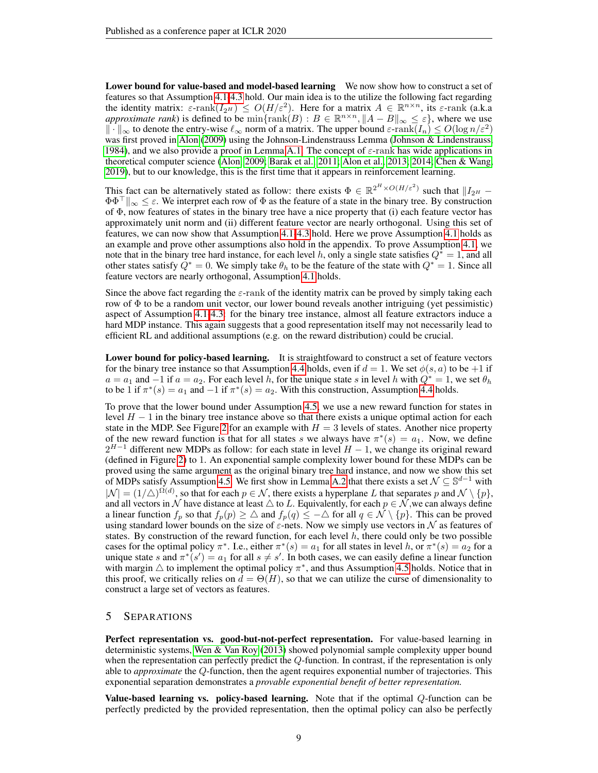Lower bound for value-based and model-based learning We now show how to construct a set of features so that Assumption [4.1-](#page-6-2)[4.3](#page-6-4) hold. Our main idea is to the utilize the following fact regarding the identity matrix:  $\varepsilon$ -rank $(I_{2^H}) \leq O(H/\varepsilon^2)$ . Here for a matrix  $A \in \mathbb{R}^{n \times n}$ , its  $\varepsilon$ -rank (a.k.a *approximate rank*) is defined to be  $\min\{\text{rank}(B) : B \in \mathbb{R}^{n \times n}, \|A - B\|_{\infty} \leq \varepsilon\}$ , where we use  $\|\cdot\|_{\infty}$  to denote the entry-wise  $\ell_{\infty}$  norm of a matrix. The upper bound  $\varepsilon$ -rank $(I_n) \leq O(\log n/\varepsilon^2)$ was first proved in [Alon](#page-9-3) [\(2009\)](#page-9-3) using the Johnson-Lindenstrauss Lemma [\(Johnson & Lindenstrauss,](#page-10-15) [1984\)](#page-10-15), and we also provide a proof in Lemma [A.1.](#page-12-1) The concept of  $\varepsilon$ -rank has wide applications in theoretical computer science [\(Alon, 2009;](#page-9-3) [Barak et al., 2011;](#page-10-16) [Alon et al., 2013;](#page-9-4) [2014;](#page-9-5) [Chen & Wang,](#page-10-17) [2019\)](#page-10-17), but to our knowledge, this is the first time that it appears in reinforcement learning.

This fact can be alternatively stated as follow: there exists  $\Phi \in \mathbb{R}^{2^H \times O(H/\varepsilon^2)}$  such that  $||I_{2^H} \Phi\Phi^{\top}\|_{\infty} \leq \varepsilon$ . We interpret each row of  $\Phi$  as the feature of a state in the binary tree. By construction of  $\Phi$ , now features of states in the binary tree have a nice property that (i) each feature vector has approximately unit norm and (ii) different feature vector are nearly orthogonal. Using this set of features, we can now show that Assumption [4.1](#page-6-2)[-4.3](#page-6-4) hold. Here we prove Assumption [4.1](#page-6-2) holds as an example and prove other assumptions also hold in the appendix. To prove Assumption [4.1,](#page-6-2) we note that in the binary tree hard instance, for each level h, only a single state satisfies  $Q^* = 1$ , and all other states satisfy  $Q^* = 0$ . We simply take  $\theta_h$  to be the feature of the state with  $Q^* = 1$ . Since all feature vectors are nearly orthogonal, Assumption [4.1](#page-6-2) holds.

Since the above fact regarding the  $\varepsilon$ -rank of the identity matrix can be proved by simply taking each row of  $\Phi$  to be a random unit vector, our lower bound reveals another intriguing (yet pessimistic) aspect of Assumption [4.1-](#page-6-2)[4.3:](#page-6-4) for the binary tree instance, almost all feature extractors induce a hard MDP instance. This again suggests that a good representation itself may not necessarily lead to efficient RL and additional assumptions (e.g. on the reward distribution) could be crucial.

Lower bound for policy-based learning. It is straightfoward to construct a set of feature vectors for the binary tree instance so that Assumption [4.4](#page-7-3) holds, even if  $d = 1$ . We set  $\phi(s, a)$  to be +1 if  $a = a_1$  and  $-1$  if  $a = a_2$ . For each level h, for the unique state s in level h with  $Q^* = 1$ , we set  $\theta_h$ to be 1 if  $\pi^*(s) = a_1$  and  $-1$  if  $\pi^*(s) = a_2$ . With this construction, Assumption [4.4](#page-7-3) holds.

To prove that the lower bound under Assumption [4.5,](#page-7-4) we use a new reward function for states in level  $H - 1$  in the binary tree instance above so that there exists a unique optimal action for each state in the MDP. See Figure [2](#page-15-0) for an example with  $H = 3$  levels of states. Another nice property of the new reward function is that for all states s we always have  $\pi^*(s) = a_1$ . Now, we define  $2^{H-1}$  different new MDPs as follow: for each state in level  $H-1$ , we change its original reward (defined in Figure [2\)](#page-15-0) to 1. An exponential sample complexity lower bound for these MDPs can be proved using the same argument as the original binary tree hard instance, and now we show this set of MDPs satisfy Assumption [4.5.](#page-7-4) We first show in Lemma [A.2](#page-14-0) that there exists a set  $\mathcal{N} \subseteq \mathbb{S}^{d-1}$  with  $|\mathcal{N}| = (1/\triangle)^{\Omega(d)}$ , so that for each  $p \in \mathcal{N}$ , there exists a hyperplane L that separates p and  $\mathcal{N} \setminus \{p\}$ , and all vectors in  $\mathcal N$  have distance at least  $\triangle$  to L. Equivalently, for each  $p \in \mathcal N$ , we can always define a linear function  $f_p$  so that  $f_p(p) \geq \Delta$  and  $f_p(q) \leq -\Delta$  for all  $q \in \mathcal{N} \setminus \{p\}$ . This can be proved using standard lower bounds on the size of  $\varepsilon$ -nets. Now we simply use vectors in  $\mathcal N$  as features of states. By construction of the reward function, for each level  $h$ , there could only be two possible cases for the optimal policy  $\pi^*$ . I.e., either  $\pi^*(s) = a_1$  for all states in level h, or  $\pi^*(s) = a_2$  for a unique state s and  $\pi^*(s') = a_1$  for all  $s \neq s'$ . In both cases, we can easily define a linear function with margin  $\triangle$  to implement the optimal policy  $\pi^*$ , and thus Assumption [4.5](#page-7-4) holds. Notice that in this proof, we critically relies on  $d = \Theta(H)$ , so that we can utilize the curse of dimensionality to construct a large set of vectors as features.

## <span id="page-8-0"></span>5 SEPARATIONS

Perfect representation vs. good-but-not-perfect representation. For value-based learning in deterministic systems, [Wen & Van Roy](#page-11-5) [\(2013\)](#page-11-5) showed polynomial sample complexity upper bound when the representation can perfectly predict the  $Q$ -function. In contrast, if the representation is only able to *approximate* the Q-function, then the agent requires exponential number of trajectories. This exponential separation demonstrates a *provable exponential benefit of better representation.*

Value-based learning vs. policy-based learning. Note that if the optimal Q-function can be perfectly predicted by the provided representation, then the optimal policy can also be perfectly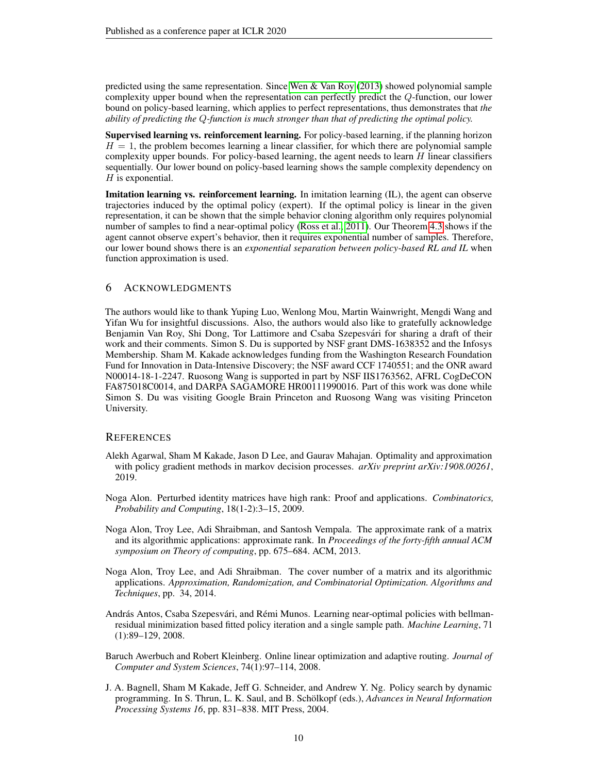predicted using the same representation. Since [Wen & Van Roy](#page-11-5) [\(2013\)](#page-11-5) showed polynomial sample complexity upper bound when the representation can perfectly predict the Q-function, our lower bound on policy-based learning, which applies to perfect representations, thus demonstrates that *the ability of predicting the* Q*-function is much stronger than that of predicting the optimal policy.*

Supervised learning vs. reinforcement learning. For policy-based learning, if the planning horizon  $H = 1$ , the problem becomes learning a linear classifier, for which there are polynomial sample complexity upper bounds. For policy-based learning, the agent needs to learn  $H$  linear classifiers sequentially. Our lower bound on policy-based learning shows the sample complexity dependency on  $H$  is exponential.

**Imitation learning vs. reinforcement learning.** In imitation learning  $(IL)$ , the agent can observe trajectories induced by the optimal policy (expert). If the optimal policy is linear in the given representation, it can be shown that the simple behavior cloning algorithm only requires polynomial number of samples to find a near-optimal policy [\(Ross et al., 2011\)](#page-11-18). Our Theorem [4.3](#page-7-2) shows if the agent cannot observe expert's behavior, then it requires exponential number of samples. Therefore, our lower bound shows there is an *exponential separation between policy-based RL and IL* when function approximation is used.

### 6 ACKNOWLEDGMENTS

The authors would like to thank Yuping Luo, Wenlong Mou, Martin Wainwright, Mengdi Wang and Yifan Wu for insightful discussions. Also, the authors would also like to gratefully acknowledge Benjamin Van Roy, Shi Dong, Tor Lattimore and Csaba Szepesvári for sharing a draft of their work and their comments. Simon S. Du is supported by NSF grant DMS-1638352 and the Infosys Membership. Sham M. Kakade acknowledges funding from the Washington Research Foundation Fund for Innovation in Data-Intensive Discovery; the NSF award CCF 1740551; and the ONR award N00014-18-1-2247. Ruosong Wang is supported in part by NSF IIS1763562, AFRL CogDeCON FA875018C0014, and DARPA SAGAMORE HR00111990016. Part of this work was done while Simon S. Du was visiting Google Brain Princeton and Ruosong Wang was visiting Princeton University.

### **REFERENCES**

- <span id="page-9-0"></span>Alekh Agarwal, Sham M Kakade, Jason D Lee, and Gaurav Mahajan. Optimality and approximation with policy gradient methods in markov decision processes. *arXiv preprint arXiv:1908.00261*, 2019.
- <span id="page-9-3"></span>Noga Alon. Perturbed identity matrices have high rank: Proof and applications. *Combinatorics, Probability and Computing*, 18(1-2):3–15, 2009.
- <span id="page-9-4"></span>Noga Alon, Troy Lee, Adi Shraibman, and Santosh Vempala. The approximate rank of a matrix and its algorithmic applications: approximate rank. In *Proceedings of the forty-fifth annual ACM symposium on Theory of computing*, pp. 675–684. ACM, 2013.
- <span id="page-9-5"></span>Noga Alon, Troy Lee, and Adi Shraibman. The cover number of a matrix and its algorithmic applications. *Approximation, Randomization, and Combinatorial Optimization. Algorithms and Techniques*, pp. 34, 2014.
- <span id="page-9-1"></span>András Antos, Csaba Szepesvári, and Rémi Munos. Learning near-optimal policies with bellmanresidual minimization based fitted policy iteration and a single sample path. *Machine Learning*, 71 (1):89–129, 2008.
- <span id="page-9-6"></span>Baruch Awerbuch and Robert Kleinberg. Online linear optimization and adaptive routing. *Journal of Computer and System Sciences*, 74(1):97–114, 2008.
- <span id="page-9-2"></span>J. A. Bagnell, Sham M Kakade, Jeff G. Schneider, and Andrew Y. Ng. Policy search by dynamic programming. In S. Thrun, L. K. Saul, and B. Schölkopf (eds.), *Advances in Neural Information Processing Systems 16*, pp. 831–838. MIT Press, 2004.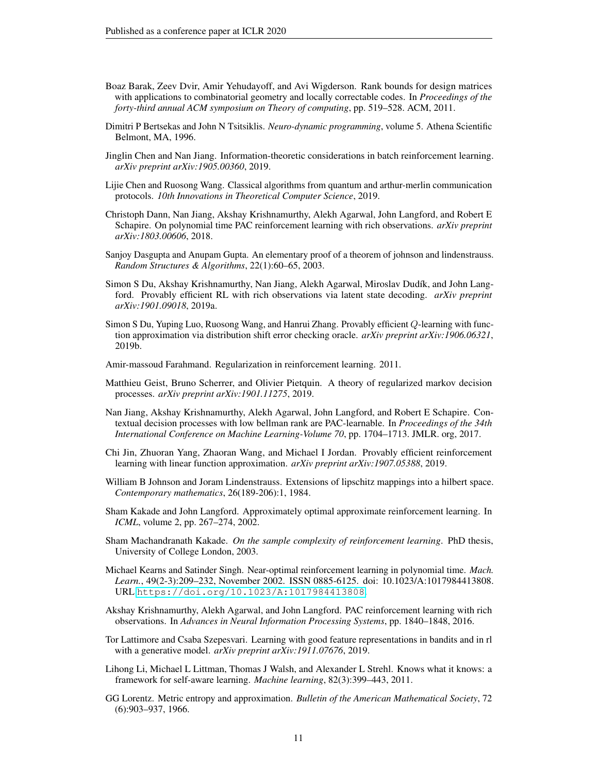- <span id="page-10-16"></span>Boaz Barak, Zeev Dvir, Amir Yehudayoff, and Avi Wigderson. Rank bounds for design matrices with applications to combinatorial geometry and locally correctable codes. In *Proceedings of the forty-third annual ACM symposium on Theory of computing*, pp. 519–528. ACM, 2011.
- <span id="page-10-13"></span>Dimitri P Bertsekas and John N Tsitsiklis. *Neuro-dynamic programming*, volume 5. Athena Scientific Belmont, MA, 1996.
- <span id="page-10-10"></span>Jinglin Chen and Nan Jiang. Information-theoretic considerations in batch reinforcement learning. *arXiv preprint arXiv:1905.00360*, 2019.
- <span id="page-10-17"></span>Lijie Chen and Ruosong Wang. Classical algorithms from quantum and arthur-merlin communication protocols. *10th Innovations in Theoretical Computer Science*, 2019.
- <span id="page-10-7"></span>Christoph Dann, Nan Jiang, Akshay Krishnamurthy, Alekh Agarwal, John Langford, and Robert E Schapire. On polynomial time PAC reinforcement learning with rich observations. *arXiv preprint arXiv:1803.00606*, 2018.
- <span id="page-10-18"></span>Sanjoy Dasgupta and Anupam Gupta. An elementary proof of a theorem of johnson and lindenstrauss. *Random Structures & Algorithms*, 22(1):60–65, 2003.
- <span id="page-10-3"></span>Simon S Du, Akshay Krishnamurthy, Nan Jiang, Alekh Agarwal, Miroslav Dudík, and John Langford. Provably efficient RL with rich observations via latent state decoding. *arXiv preprint arXiv:1901.09018*, 2019a.
- <span id="page-10-5"></span>Simon S Du, Yuping Luo, Ruosong Wang, and Hanrui Zhang. Provably efficient Q-learning with function approximation via distribution shift error checking oracle. *arXiv preprint arXiv:1906.06321*, 2019b.
- <span id="page-10-14"></span>Amir-massoud Farahmand. Regularization in reinforcement learning. 2011.
- <span id="page-10-9"></span>Matthieu Geist, Bruno Scherrer, and Olivier Pietquin. A theory of regularized markov decision processes. *arXiv preprint arXiv:1901.11275*, 2019.
- <span id="page-10-0"></span>Nan Jiang, Akshay Krishnamurthy, Alekh Agarwal, John Langford, and Robert E Schapire. Contextual decision processes with low bellman rank are PAC-learnable. In *Proceedings of the 34th International Conference on Machine Learning-Volume 70*, pp. 1704–1713. JMLR. org, 2017.
- <span id="page-10-8"></span>Chi Jin, Zhuoran Yang, Zhaoran Wang, and Michael I Jordan. Provably efficient reinforcement learning with linear function approximation. *arXiv preprint arXiv:1907.05388*, 2019.
- <span id="page-10-15"></span>William B Johnson and Joram Lindenstrauss. Extensions of lipschitz mappings into a hilbert space. *Contemporary mathematics*, 26(189-206):1, 1984.
- <span id="page-10-4"></span>Sham Kakade and John Langford. Approximately optimal approximate reinforcement learning. In *ICML*, volume 2, pp. 267–274, 2002.
- <span id="page-10-1"></span>Sham Machandranath Kakade. *On the sample complexity of reinforcement learning*. PhD thesis, University of College London, 2003.
- <span id="page-10-12"></span>Michael Kearns and Satinder Singh. Near-optimal reinforcement learning in polynomial time. *Mach. Learn.*, 49(2-3):209–232, November 2002. ISSN 0885-6125. doi: 10.1023/A:1017984413808. URL <https://doi.org/10.1023/A:1017984413808>.
- <span id="page-10-2"></span>Akshay Krishnamurthy, Alekh Agarwal, and John Langford. PAC reinforcement learning with rich observations. In *Advances in Neural Information Processing Systems*, pp. 1840–1848, 2016.
- <span id="page-10-11"></span>Tor Lattimore and Csaba Szepesvari. Learning with good feature representations in bandits and in rl with a generative model. *arXiv preprint arXiv:1911.07676*, 2019.
- <span id="page-10-6"></span>Lihong Li, Michael L Littman, Thomas J Walsh, and Alexander L Strehl. Knows what it knows: a framework for self-aware learning. *Machine learning*, 82(3):399–443, 2011.
- <span id="page-10-19"></span>GG Lorentz. Metric entropy and approximation. *Bulletin of the American Mathematical Society*, 72 (6):903–937, 1966.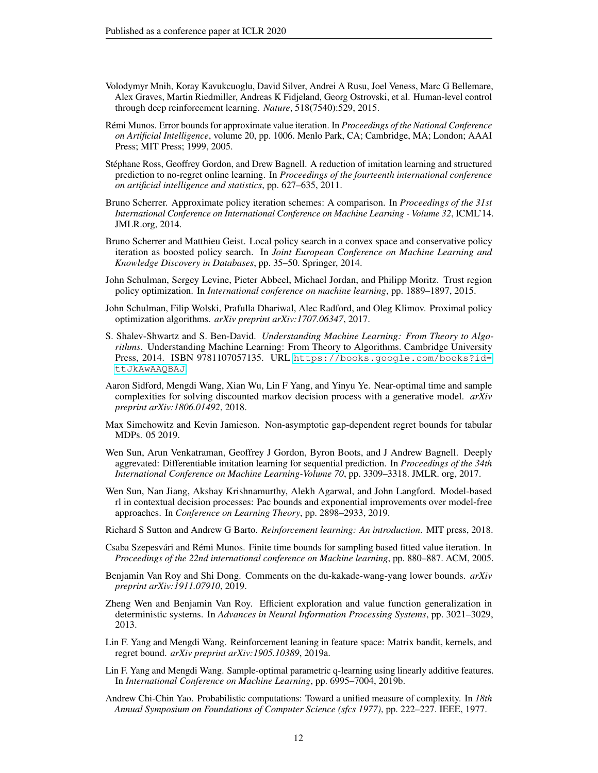- <span id="page-11-1"></span>Volodymyr Mnih, Koray Kavukcuoglu, David Silver, Andrei A Rusu, Joel Veness, Marc G Bellemare, Alex Graves, Martin Riedmiller, Andreas K Fidjeland, Georg Ostrovski, et al. Human-level control through deep reinforcement learning. *Nature*, 518(7540):529, 2015.
- <span id="page-11-7"></span>Rémi Munos. Error bounds for approximate value iteration. In *Proceedings of the National Conference on Artificial Intelligence*, volume 20, pp. 1006. Menlo Park, CA; Cambridge, MA; London; AAAI Press; MIT Press; 1999, 2005.
- <span id="page-11-18"></span>Stephane Ross, Geoffrey Gordon, and Drew Bagnell. A reduction of imitation learning and structured ´ prediction to no-regret online learning. In *Proceedings of the fourteenth international conference on artificial intelligence and statistics*, pp. 627–635, 2011.
- <span id="page-11-8"></span>Bruno Scherrer. Approximate policy iteration schemes: A comparison. In *Proceedings of the 31st International Conference on International Conference on Machine Learning - Volume 32*, ICML'14. JMLR.org, 2014.
- <span id="page-11-12"></span>Bruno Scherrer and Matthieu Geist. Local policy search in a convex space and conservative policy iteration as boosted policy search. In *Joint European Conference on Machine Learning and Knowledge Discovery in Databases*, pp. 35–50. Springer, 2014.
- <span id="page-11-2"></span>John Schulman, Sergey Levine, Pieter Abbeel, Michael Jordan, and Philipp Moritz. Trust region policy optimization. In *International conference on machine learning*, pp. 1889–1897, 2015.
- <span id="page-11-3"></span>John Schulman, Filip Wolski, Prafulla Dhariwal, Alec Radford, and Oleg Klimov. Proximal policy optimization algorithms. *arXiv preprint arXiv:1707.06347*, 2017.
- <span id="page-11-4"></span>S. Shalev-Shwartz and S. Ben-David. *Understanding Machine Learning: From Theory to Algorithms*. Understanding Machine Learning: From Theory to Algorithms. Cambridge University Press, 2014. ISBN 9781107057135. URL [https://books.google.com/books?id=](https://books.google.com/books?id=ttJkAwAAQBAJ) [ttJkAwAAQBAJ](https://books.google.com/books?id=ttJkAwAAQBAJ).
- <span id="page-11-15"></span>Aaron Sidford, Mengdi Wang, Xian Wu, Lin F Yang, and Yinyu Ye. Near-optimal time and sample complexities for solving discounted markov decision process with a generative model. *arXiv preprint arXiv:1806.01492*, 2018.
- <span id="page-11-14"></span>Max Simchowitz and Kevin Jamieson. Non-asymptotic gap-dependent regret bounds for tabular MDPs. 05 2019.
- <span id="page-11-6"></span>Wen Sun, Arun Venkatraman, Geoffrey J Gordon, Byron Boots, and J Andrew Bagnell. Deeply aggrevated: Differentiable imitation learning for sequential prediction. In *Proceedings of the 34th International Conference on Machine Learning-Volume 70*, pp. 3309–3318. JMLR. org, 2017.
- <span id="page-11-10"></span>Wen Sun, Nan Jiang, Akshay Krishnamurthy, Alekh Agarwal, and John Langford. Model-based rl in contextual decision processes: Pac bounds and exponential improvements over model-free approaches. In *Conference on Learning Theory*, pp. 2898–2933, 2019.
- <span id="page-11-0"></span>Richard S Sutton and Andrew G Barto. *Reinforcement learning: An introduction*. MIT press, 2018.
- <span id="page-11-11"></span>Csaba Szepesvári and Rémi Munos. Finite time bounds for sampling based fitted value iteration. In *Proceedings of the 22nd international conference on Machine learning*, pp. 880–887. ACM, 2005.
- <span id="page-11-13"></span>Benjamin Van Roy and Shi Dong. Comments on the du-kakade-wang-yang lower bounds. *arXiv preprint arXiv:1911.07910*, 2019.
- <span id="page-11-5"></span>Zheng Wen and Benjamin Van Roy. Efficient exploration and value function generalization in deterministic systems. In *Advances in Neural Information Processing Systems*, pp. 3021–3029, 2013.
- <span id="page-11-16"></span>Lin F. Yang and Mengdi Wang. Reinforcement leaning in feature space: Matrix bandit, kernels, and regret bound. *arXiv preprint arXiv:1905.10389*, 2019a.
- <span id="page-11-9"></span>Lin F. Yang and Mengdi Wang. Sample-optimal parametric q-learning using linearly additive features. In *International Conference on Machine Learning*, pp. 6995–7004, 2019b.
- <span id="page-11-17"></span>Andrew Chi-Chin Yao. Probabilistic computations: Toward a unified measure of complexity. In *18th Annual Symposium on Foundations of Computer Science (sfcs 1977)*, pp. 222–227. IEEE, 1977.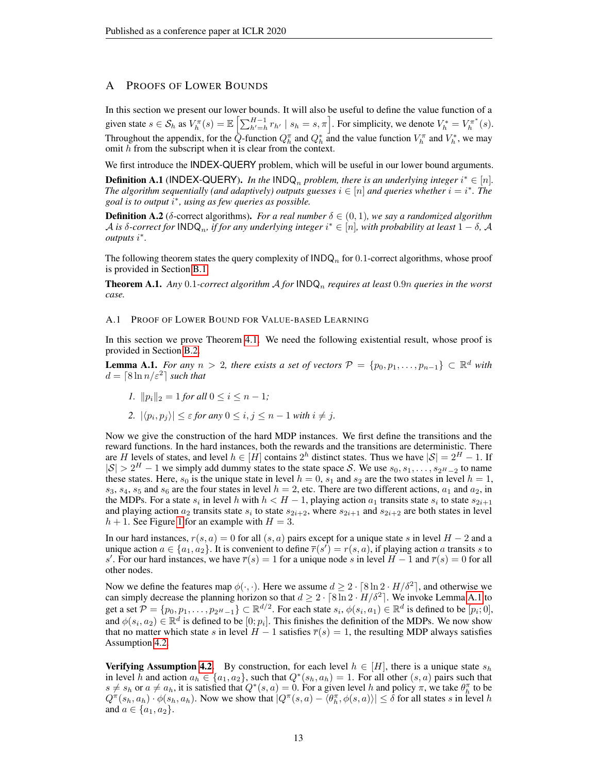## A PROOFS OF LOWER BOUNDS

In this section we present our lower bounds. It will also be useful to define the value function of a given state  $s \in \mathcal{S}_h$  as  $V_h^{\pi}(s) = \mathbb{E}\left[\sum_{h'=h}^{H-1} r_{h'} \mid s_h = s, \pi\right]$ . For simplicity, we denote  $V_h^* = V_h^{\pi^*}(s)$ . Throughout the appendix, for the  $\tilde{Q}$ -function  $Q_h^{\pi}$  and  $Q_h^*$  and the value function  $V_h^{\pi}$  and  $V_h^*$ , we may omit h from the subscript when it is clear from the context.

We first introduce the INDEX-QUERY problem, which will be useful in our lower bound arguments. **Definition A.1** (INDEX-QUERY). In the INDQ<sub>n</sub> problem, there is an underlying integer  $i^* \in [n]$ . The algorithm sequentially (and adaptively) outputs guesses  $i \in [n]$  and queries whether  $i = i^*$ . The *goal is to output* i ∗ *, using as few queries as possible.*

**Definition A.2** ( $\delta$ -correct algorithms). *For a real number*  $\delta \in (0,1)$ *, we say a randomized algorithm*  $\mathcal A$  is  $\delta$ -correct for  $\mathsf{INDQ}_n$ , if for any underlying integer  $i^*\in[n]$ , with probability at least  $1-\delta$ ,  $\mathcal A$ *outputs* i ∗ *.*

The following theorem states the query complexity of  $\mathsf{INDQ}_n$  for 0.1-correct algorithms, whose proof is provided in Section [B.1.](#page-16-0)

<span id="page-12-0"></span>**Theorem A.1.** Any 0.1-correct algorithm  $A$  for  $\text{INDQ}_n$  requires at least 0.9n queries in the worst *case.*

#### <span id="page-12-2"></span>A.1 PROOF OF LOWER BOUND FOR VALUE-BASED LEARNING

In this section we prove Theorem [4.1.](#page-6-1) We need the following existential result, whose proof is provided in Section [B.2.](#page-17-0)

<span id="page-12-1"></span>**Lemma A.1.** *For any*  $n > 2$ , *there exists a set of vectors*  $\mathcal{P} = \{p_0, p_1, \ldots, p_{n-1}\} \subset \mathbb{R}^d$  *with*  $d = \lceil 8 \ln n / \varepsilon^2 \rceil$  such that

- *1.*  $||p_i||_2 = 1$  *for all*  $0 \le i \le n 1$ *;*
- 2.  $|\langle p_i, p_j \rangle| \leq \varepsilon$  *for any*  $0 \leq i, j \leq n-1$  *with*  $i \neq j$ *.*

Now we give the construction of the hard MDP instances. We first define the transitions and the reward functions. In the hard instances, both the rewards and the transitions are deterministic. There are H levels of states, and level  $h \in [H]$  contains  $2^h$  distinct states. Thus we have  $|\mathcal{S}| = 2^H - 1$ . If  $|S| > 2^H - 1$  we simply add dummy states to the state space S. We use  $s_0, s_1, \ldots, s_{2^H-2}$  to name these states. Here,  $s_0$  is the unique state in level  $h = 0$ ,  $s_1$  and  $s_2$  are the two states in level  $h = 1$ ,  $s_3$ ,  $s_4$ ,  $s_5$  and  $s_6$  are the four states in level  $h = 2$ , etc. There are two different actions,  $a_1$  and  $a_2$ , in the MDPs. For a state  $s_i$  in level h with  $h < H - 1$ , playing action  $a_1$  transits state  $s_i$  to state  $s_{2i+1}$ and playing action  $a_2$  transits state  $s_i$  to state  $s_{2i+2}$ , where  $s_{2i+1}$  and  $s_{2i+2}$  are both states in level  $h + 1$  $h + 1$ . See Figure 1 for an example with  $H = 3$ .

In our hard instances,  $r(s, a) = 0$  for all  $(s, a)$  pairs except for a unique state s in level  $H - 2$  and a unique action  $a \in \{a_1, a_2\}$ . It is convenient to define  $\overline{r}(s') = r(s, a)$ , if playing action a transits s to s'. For our hard instances, we have  $\overline{r}(s) = 1$  for a unique node s in level  $H - 1$  and  $\overline{r}(s) = 0$  for all other nodes.

Now we define the features map  $\phi(\cdot, \cdot)$ . Here we assume  $d \geq 2 \cdot \lceil 8 \ln 2 \cdot H/\delta^2 \rceil$ , and otherwise we can simply decrease the planning horizon so that  $d \geq 2 \cdot \lceil 8 \ln 2 \cdot H/\delta^2 \rceil$ . We invoke Lemma [A.1](#page-12-1) to get a set  $\mathcal{P} = \{p_0, p_1, \ldots, p_{2^H-1}\} \subset \mathbb{R}^{d/2}$ . For each state  $s_i, \phi(s_i, a_1) \in \mathbb{R}^d$  is defined to be  $[p_i; 0]$ , and  $\phi(s_i, a_2) \in \mathbb{R}^d$  is defined to be  $[0; p_i]$ . This finishes the definition of the MDPs. We now show that no matter which state s in level  $H - 1$  satisfies  $\overline{r}(s) = 1$ , the resulting MDP always satisfies Assumption [4.2.](#page-6-3)

**Verifying Assumption [4.2.](#page-6-3)** By construction, for each level  $h \in [H]$ , there is a unique state  $s_h$ in level h and action  $a_h \in \{a_1, a_2\}$ , such that  $Q^*(s_h, a_h) = 1$ . For all other  $(s, a)$  pairs such that  $s \neq s_h$  or  $a \neq a_h$ , it is satisfied that  $Q^*(s, a) = 0$ . For a given level h and policy  $\pi$ , we take  $\theta_h^{\pi}$  to be  $Q^{\pi}(s_h, a_h) \cdot \phi(s_h, a_h)$ . Now we show that  $|Q^{\pi}(s, a) - \langle \theta_h^{\pi}, \phi(s, a) \rangle| \leq \delta$  for all states s in level h and  $a \in \{a_1, a_2\}.$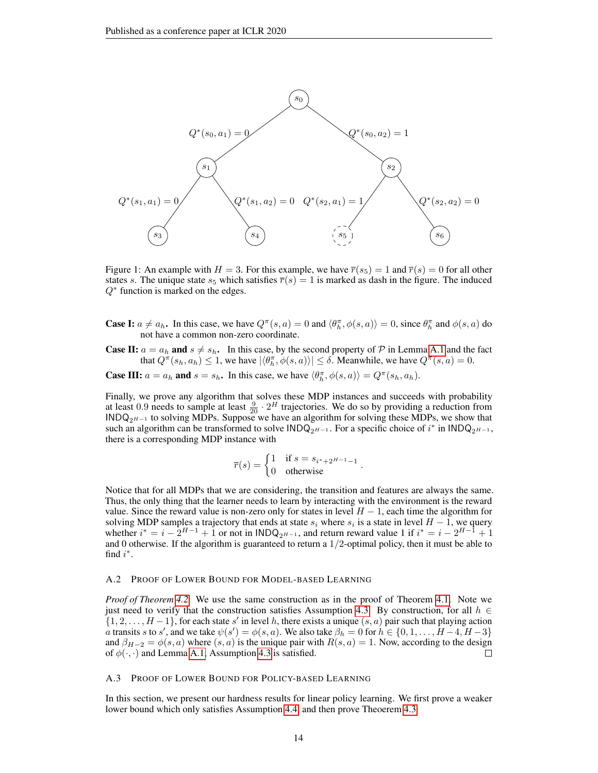<span id="page-13-0"></span>

Figure 1: An example with  $H = 3$ . For this example, we have  $\overline{r}(s_5) = 1$  and  $\overline{r}(s) = 0$  for all other states s. The unique state  $s_5$  which satisfies  $\overline{r}(s) = 1$  is marked as dash in the figure. The induced  $Q^*$  function is marked on the edges.

**Case I:**  $a \neq a_h$ . In this case, we have  $Q^{\pi}(s, a) = 0$  and  $\langle \theta_h^{\pi}, \phi(s, a) \rangle = 0$ , since  $\theta_h^{\pi}$  and  $\phi(s, a)$  do not have a common non-zero coordinate.

**Case II:**  $a = a_h$  and  $s \neq s_h$ . In this case, by the second property of P in Lemma [A.1](#page-12-1) and the fact that  $Q^{\pi}(s_h, a_h) \leq 1$ , we have  $|\langle \theta_h^{\pi}, \phi(s, a) \rangle| \leq \delta$ . Meanwhile, we have  $Q^{\pi}(s, a) = 0$ .

**Case III:**  $a = a_h$  and  $s = s_h$ . In this case, we have  $\langle \theta_h^{\pi}, \phi(s, a) \rangle = Q^{\pi}(s_h, a_h)$ .

Finally, we prove any algorithm that solves these MDP instances and succeeds with probability at least 0.9 needs to sample at least  $\frac{9}{20} \cdot 2^H$  trajectories. We do so by providing a reduction from  $INDQ_{2^{H-1}}$  to solving MDPs. Suppose we have an algorithm for solving these MDPs, we show that such an algorithm can be transformed to solve  $\text{INDQ}_{2^{H-1}}$ . For a specific choice of  $i^*$  in  $\text{INDQ}_{2^{H-1}}$ , there is a corresponding MDP instance with

$$
\overline{r}(s) = \begin{cases} 1 & \text{if } s = s_{i^* + 2^{H-1} - 1} \\ 0 & \text{otherwise} \end{cases}.
$$

Notice that for all MDPs that we are considering, the transition and features are always the same. Thus, the only thing that the learner needs to learn by interacting with the environment is the reward value. Since the reward value is non-zero only for states in level  $H - 1$ , each time the algorithm for solving MDP samples a trajectory that ends at state  $s_i$  where  $s_i$  is a state in level  $H-1$ , we query whether  $i^* = i - 2^{H-1} + 1$  or not in  $\text{INDQ}_{2^{H-1}}$ , and return reward value 1 if  $i^* = i - 2^{H-1} + 1$ and 0 otherwise. If the algorithm is guaranteed to return a  $1/2$ -optimal policy, then it must be able to find  $i^*$ .

#### A.2 PROOF OF LOWER BOUND FOR MODEL-BASED LEARNING

*Proof of Theorem [4.2.](#page-7-1)* We use the same construction as in the proof of Theorem [4.1.](#page-6-1) Note we just need to verify that the construction satisfies Assumption [4.3.](#page-6-4) By construction, for all  $h \in$  $\{1, 2, \ldots, H-1\}$ , for each state s' in level h, there exists a unique  $(s, a)$  pair such that playing action *a* transits *s* to *s'*, and we take  $\psi(s') = \phi(s, a)$ . We also take  $\beta_h = 0$  for  $h \in \{0, 1, \dots, H-4, H-3\}$ and  $\beta_{H-2} = \phi(s, a)$  where  $(s, a)$  is the unique pair with  $R(s, a) = 1$ . Now, according to the design of  $\phi(\cdot, \cdot)$  and Lemma A 1. Assumption 4.3 is satisfied of  $\phi(\cdot, \cdot)$  and Lemma [A.1,](#page-12-1) Assumption [4.3](#page-6-4) is satisfied.

#### A.3 PROOF OF LOWER BOUND FOR POLICY-BASED LEARNING

In this section, we present our hardness results for linear policy learning. We first prove a weaker lower bound which only satisfies Assumption [4.4,](#page-7-3) and then prove Theoerem [4.3.](#page-7-2)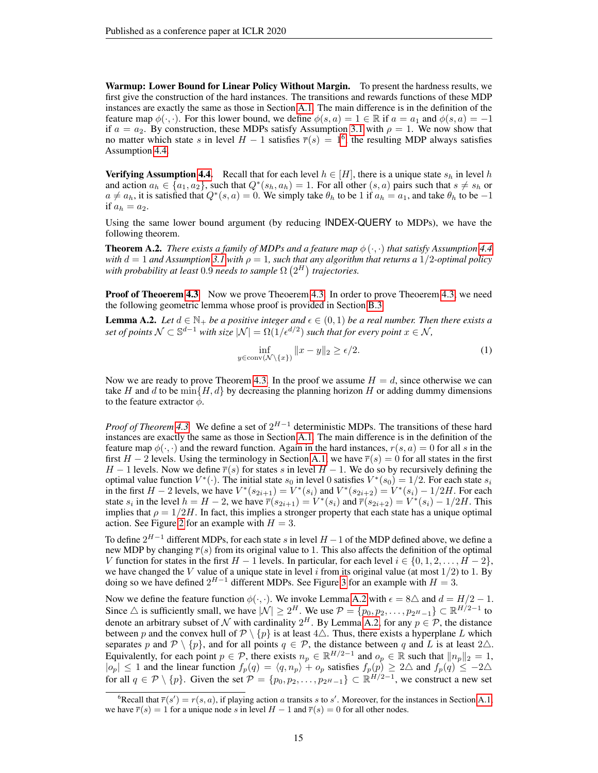Warmup: Lower Bound for Linear Policy Without Margin. To present the hardness results, we first give the construction of the hard instances. The transitions and rewards functions of these MDP instances are exactly the same as those in Section [A.1.](#page-12-2) The main difference is in the definition of the feature map  $\phi(\cdot, \cdot)$ . For this lower bound, we define  $\phi(s, a) = 1 \in \mathbb{R}$  if  $a = a_1$  and  $\phi(s, a) = -1$ if  $a = a_2$ . By construction, these MDPs satisfy Assumption [3.1](#page-5-2) with  $\rho = 1$ . We now show that no matter which state s in level  $H-1$  satisfies  $\overline{r}(s) = 1^6$  $\overline{r}(s) = 1^6$ , the resulting MDP always satisfies Assumption [4.4.](#page-7-3)

**Verifying Assumption [4.4.](#page-7-3)** Recall that for each level  $h \in [H]$ , there is a unique state  $s_h$  in level h and action  $a_h \in \{a_1, a_2\}$ , such that  $Q^*(s_h, a_h) = 1$ . For all other  $(s, a)$  pairs such that  $s \neq s_h$  or  $a \neq a_h$ , it is satisfied that  $Q^*(s, a) = 0$ . We simply take  $\theta_h$  to be 1 if  $a_h = a_1$ , and take  $\theta_h$  to be  $-1$ if  $a_h = a_2$ .

Using the same lower bound argument (by reducing INDEX-QUERY to MDPs), we have the following theorem.

**Theorem A.2.** *There exists a family of MDPs and a feature map*  $\phi(\cdot, \cdot)$  *that satisfy Assumption [4.4](#page-7-3) with*  $d = 1$  *and Assumption* [3.1](#page-5-2) *with*  $\rho = 1$ *, such that any algorithm that returns a* 1/2*-optimal policy* with probability at least  $0.9$  needs to sample  $\Omega\left(2^{H}\right)$  trajectories.

**Proof of Theoerem [4.3](#page-7-2)** Now we prove Theoerem [4.3.](#page-7-2) In order to prove Theoerem [4.3,](#page-7-2) we need the following geometric lemma whose proof is provided in Section [B.3.](#page-17-1)

<span id="page-14-0"></span>**Lemma A.2.** Let  $d \in \mathbb{N}_+$  be a positive integer and  $\epsilon \in (0,1)$  be a real number. Then there exists a set of points  $\mathcal{N} \subset \mathbb{S}^{d-1}$  with size  $|\mathcal{N}| = \Omega(1/\epsilon^{d/2})$  such that for every point  $x \in \mathcal{N}$ ,

<span id="page-14-2"></span>
$$
\inf_{y \in \text{conv}(\mathcal{N} \setminus \{x\})} \|x - y\|_2 \ge \epsilon/2. \tag{1}
$$

Now we are ready to prove Theorem [4.3.](#page-7-2) In the proof we assume  $H = d$ , since otherwise we can take H and d to be min $\{H, d\}$  by decreasing the planning horizon H or adding dummy dimensions to the feature extractor  $\phi$ .

*Proof of Theorem* [4.3.](#page-7-2) We define a set of  $2^{H-1}$  deterministic MDPs. The transitions of these hard instances are exactly the same as those in Section [A.1.](#page-12-2) The main difference is in the definition of the feature map  $\phi(\cdot, \cdot)$  and the reward function. Again in the hard instances,  $r(s, a) = 0$  for all s in the first  $H - 2$  levels. Using the terminology in Section [A.1,](#page-12-2) we have  $\overline{r}(s) = 0$  for all states in the first  $H-1$  levels. Now we define  $\overline{r}(s)$  for states s in level  $H-1$ . We do so by recursively defining the optimal value function  $V^*(\cdot)$ . The initial state  $s_0$  in level 0 satisfies  $V^*(s_0) = 1/2$ . For each state  $s_i$ in the first  $H - 2$  levels, we have  $V^*(s_{2i+1}) = V^*(s_i)$  and  $V^*(s_{2i+2}) = V^*(s_i) - 1/2H$ . For each state  $s_i$  in the level  $h = H - 2$ , we have  $\overline{r}(s_{2i+1}) = V^*(s_i)$  and  $\overline{r}(s_{2i+2}) = V^*(s_i) - 1/2H$ . This implies that  $\rho = 1/2H$ . In fact, this implies a stronger property that each state has a unique optimal action. See Figure [2](#page-15-0) for an example with  $H = 3$ .

To define  $2^{H-1}$  different MDPs, for each state s in level  $H-1$  of the MDP defined above, we define a new MDP by changing  $\overline{r}(s)$  from its original value to 1. This also affects the definition of the optimal V function for states in the first  $H - 1$  levels. In particular, for each level  $i \in \{0, 1, 2, \ldots, H - 2\}$ , we have changed the V value of a unique state in level i from its original value (at most  $1/2$ ) to 1. By doing so we have defined  $2^{H-1}$  different MDPs. See Figure [3](#page-15-1) for an example with  $H = 3$ .

Now we define the feature function  $\phi(\cdot, \cdot)$ . We invoke Lemma [A.2](#page-14-0) with  $\epsilon = 8\Delta$  and  $d = H/2 - 1$ . Since  $\triangle$  is sufficiently small, we have  $|\mathcal{N}| \geq 2^H$ . We use  $\mathcal{P} = \{p_0, p_2, \dots, p_{2^H-1}\} \subset \mathbb{R}^{H/2-1}$  to denote an arbitrary subset of N with cardinality  $2^H$ . By Lemma [A.2,](#page-14-0) for any  $p \in \mathcal{P}$ , the distance between p and the convex hull of  $\mathcal{P} \setminus \{p\}$  is at least  $4\Delta$ . Thus, there exists a hyperplane L which separates p and  $\mathcal{P} \setminus \{p\}$ , and for all points  $q \in \mathcal{P}$ , the distance between q and L is at least  $2\triangle$ . Equivalently, for each point  $p \in \mathcal{P}$ , there exists  $n_p \in \mathbb{R}^{H/2-1}$  and  $o_p \in \mathbb{R}$  such that  $||n_p||_2 = 1$ ,  $|o_p| \leq 1$  and the linear function  $f_p(q) = \langle q, n_p \rangle + o_p$  satisfies  $f_p(p) \geq 2\Delta$  and  $f_p(q) \leq -2\Delta$ for all  $q \in \mathcal{P} \setminus \{p\}$ . Given the set  $\mathcal{P} = \{p_0, p_2, \dots, p_{2^H-1}\} \subset \mathbb{R}^{H/2-1}$ , we construct a new set

<span id="page-14-1"></span><sup>&</sup>lt;sup>6</sup>Recall that  $\overline{r}(s') = r(s, a)$ , if playing action a transits s to s'. Moreover, for the instances in Section [A.1,](#page-12-2) we have  $\overline{r}(s) = 1$  for a unique node s in level  $H - 1$  and  $\overline{r}(s) = 0$  for all other nodes.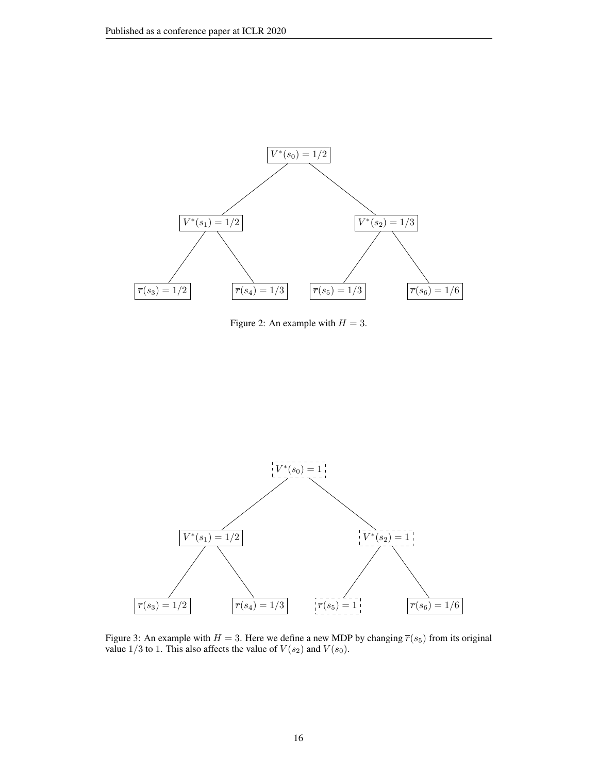<span id="page-15-0"></span>

Figure 2: An example with  $H = 3$ .

<span id="page-15-1"></span>

Figure 3: An example with  $H = 3$ . Here we define a new MDP by changing  $\overline{r}(s_5)$  from its original value  $1/3$  to 1. This also affects the value of  $V(s_2)$  and  $V(s_0)$ .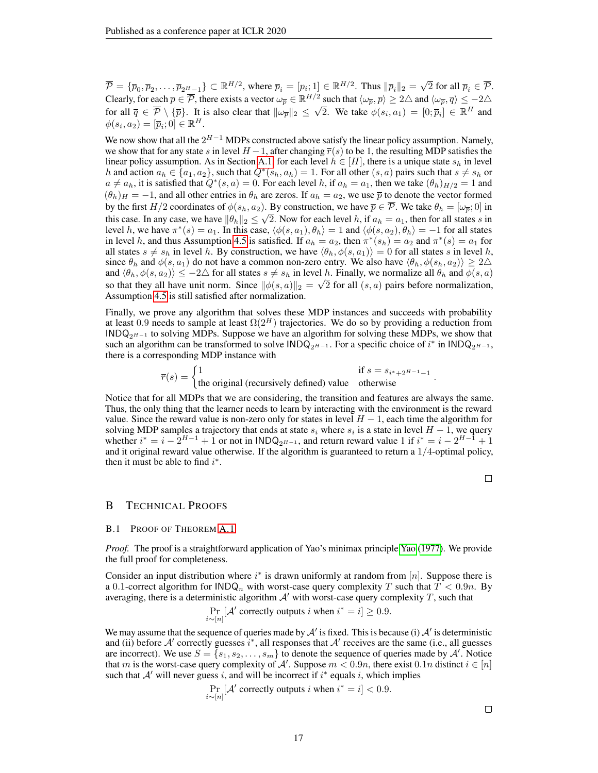$\overline{\mathcal{P}} = \{ \overline{p}_0, \overline{p}_2, \dots, \overline{p}_{2^H-1} \} \subset \mathbb{R}^{H/2}$ , where  $\overline{p}_i = [p_i; 1] \in \mathbb{R}^{H/2}$ . Thus  $\|\overline{p}_i\|_2 =$ √ 2 for all  $\overline{p}_i \in \overline{\mathcal{P}}$ . Clearly, for each  $\overline{p} \in \overline{\mathcal{P}}$ , there exists a vector  $\omega_{\overline{p}} \in \mathbb{R}^{H/2}$  such that  $\langle \omega_{\overline{p}}, \overline{p} \rangle \geq 2\triangle$  and  $\langle \omega_{\overline{p}}, \overline{q} \rangle \leq -2\triangle$ for all  $\overline{q} \in \mathcal{P} \setminus {\{\overline{p}\}}$ . It is also clear that  $\|\omega_{\overline{p}}\|_2 \leq$ √ 2. We take  $\phi(s_i, a_1) = [0; \overline{p}_i] \in \mathbb{R}^H$  and  $\phi(s_i, a_2) = [\overline{p}_i; 0] \in \mathbb{R}^H.$ 

We now show that all the  $2^{H-1}$  MDPs constructed above satisfy the linear policy assumption. Namely, we show that for any state s in level  $H-1$ , after changing  $\overline{r}(s)$  to be 1, the resulting MDP satisfies the linear policy assumption. As in Section [A.1,](#page-12-2) for each level  $h \in [H]$ , there is a unique state  $s_h$  in level h and action  $a_h \in \{a_1, a_2\}$ , such that  $Q^*(s_h, a_h) = 1$ . For all other  $(s, a)$  pairs such that  $s \neq s_h$  or  $a \neq a_h$ , it is satisfied that  $Q^*(s, a) = 0$ . For each level h, if  $a_h = a_1$ , then we take  $(\theta_h)_{H/2} = 1$  and  $(\theta_h)$ <sub>H</sub> = −1, and all other entries in  $\theta_h$  are zeros. If  $a_h = a_2$ , we use  $\bar{p}$  to denote the vector formed by the first  $H/2$  coordinates of  $\phi(s_h, a_2)$ . By construction, we have  $\overline{p} \in \overline{\mathcal{P}}$ . We take  $\theta_h = [\omega_{\overline{p}}; 0]$  in this case. In any case, we have  $\|\theta_h\|_2 \leq \sqrt{2}$ . Now for each level h, if  $a_h = a_1$ , then for all states s in level h, we have  $\pi^*(s) = a_1$ . In this case,  $\langle \phi(s, a_1), \theta_h \rangle = 1$  and  $\langle \phi(s, a_2), \theta_h \rangle = -1$  for all states in level h, and thus Assumption [4.5](#page-7-4) is satisfied. If  $a_h = a_2$ , then  $\pi^*(s_h) = a_2$  and  $\pi^*(s) = a_1$  for all states  $s \neq s_h$  in level h. By construction, we have  $\langle \theta_h, \phi(s, a_1) \rangle = 0$  for all states s in level h, since  $\theta_h$  and  $\phi(s, a_1)$  do not have a common non-zero entry. We also have  $\langle \theta_h, \phi(s_h, a_2) \rangle \ge 2\Delta$ and  $\langle \theta_h, \phi(s, a_2) \rangle \leq -2\Delta$  for all states  $s \neq s_h$  in level h. Finally, we normalize all  $\theta_h$  and  $\phi(s, a)$ so that they all have unit norm. Since  $\|\phi(s, a)\|_2 = \sqrt{2}$  for all  $(s, a)$  pairs before normalization, Assumption [4.5](#page-7-4) is still satisfied after normalization.

Finally, we prove any algorithm that solves these MDP instances and succeeds with probability at least 0.9 needs to sample at least  $\Omega(2^H)$  trajectories. We do so by providing a reduction from  $INDQ_{2H-1}$  to solving MDPs. Suppose we have an algorithm for solving these MDPs, we show that such an algorithm can be transformed to solve  $\text{INDQ}_{2^{H-1}}$ . For a specific choice of  $i^*$  in  $\text{INDQ}_{2^{H-1}}$ , there is a corresponding MDP instance with

 $\overline{r}(s) = \begin{cases} 1 & \text{if } s = s_{i^* + 2^{H-1}-1} \\ \text{the original (recursively defined) value} & \text{otherwise} \end{cases}.$ 

Notice that for all MDPs that we are considering, the transition and features are always the same. Thus, the only thing that the learner needs to learn by interacting with the environment is the reward value. Since the reward value is non-zero only for states in level  $H - 1$ , each time the algorithm for solving MDP samples a trajectory that ends at state  $s_i$  where  $s_i$  is a state in level  $H-1$ , we query whether  $i^* = i - 2^{H-1} + 1$  or not in  $\text{INDQ}_{2^{H-1}}$ , and return reward value 1 if  $i^* = i - 2^{H-1} + 1$ and it original reward value otherwise. If the algorithm is guaranteed to return a  $1/4$ -optimal policy, then it must be able to find  $i^*$ .

 $\Box$ 

#### B TECHNICAL PROOFS

#### <span id="page-16-0"></span>B.1 PROOF OF THEOREM [A.1](#page-12-0)

*Proof.* The proof is a straightforward application of [Yao](#page-11-17)'s minimax principle Yao [\(1977\)](#page-11-17). We provide the full proof for completeness.

Consider an input distribution where  $i^*$  is drawn uniformly at random from [n]. Suppose there is a 0.1-correct algorithm for  $\mathsf{INDQ}_n$  with worst-case query complexity T such that  $T < 0.9n$ . By averaging, there is a deterministic algorithm  $A'$  with worst-case query complexity T, such that

$$
\Pr_{i \sim [n]}[\mathcal{A}' \text{ correctly outputs } i \text{ when } i^* = i] \ge 0.9.
$$

We may assume that the sequence of queries made by  $A'$  is fixed. This is because (i)  $A'$  is deterministic and (ii) before  $A'$  correctly guesses  $i^*$ , all responses that  $A'$  receives are the same (i.e., all guesses are incorrect). We use  $S = \{s_1, s_2, \ldots, s_m\}$  to denote the sequence of queries made by  $\mathcal{A}'$ . Notice that m is the worst-case query complexity of A'. Suppose  $m < 0.9n$ , there exist  $0.1n$  distinct  $i \in [n]$ such that  $A'$  will never guess i, and will be incorrect if  $i^*$  equals i, which implies

$$
\Pr_{i \sim [n]}[\mathcal{A}'] \text{ correctly outputs } i \text{ when } i^* = i] < 0.9.
$$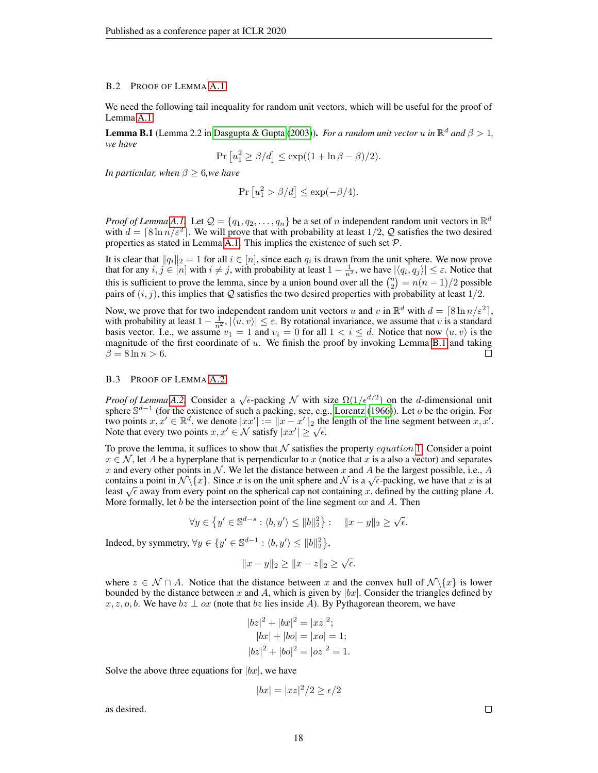#### <span id="page-17-0"></span>B.2 PROOF OF LEMMA [A.1](#page-12-1)

We need the following tail inequality for random unit vectors, which will be useful for the proof of Lemma [A.1.](#page-12-1)

<span id="page-17-2"></span>**Lemma B.1** (Lemma 2.2 in [Dasgupta & Gupta](#page-10-18) [\(2003\)](#page-10-18)). *For a random unit vector u in*  $\mathbb{R}^d$  *and*  $\beta > 1$ , *we have*

$$
Pr[u_1^2 \ge \beta/d] \le \exp((1 + \ln \beta - \beta)/2).
$$

*In particular, when*  $\beta \geq 6$ *, we have* 

$$
Pr[u_1^2 > \beta/d] \le \exp(-\beta/4).
$$

*Proof of Lemma* [A.1.](#page-12-1) Let  $\mathcal{Q} = \{q_1, q_2, \dots, q_n\}$  be a set of n independent random unit vectors in  $\mathbb{R}^d$ with  $d = \lceil 8 \ln n / \varepsilon^2 \rceil$ . We will prove that with probability at least 1/2, Q satisfies the two desired properties as stated in Lemma [A.1.](#page-12-1) This implies the existence of such set  $P$ .

It is clear that  $||q_i||_2 = 1$  for all  $i \in [n]$ , since each  $q_i$  is drawn from the unit sphere. We now prove that for any  $i, j \in [n]$  with  $i \neq j$ , with probability at least  $1 - \frac{1}{n^2}$ , we have  $|\langle q_i, q_j \rangle| \leq \varepsilon$ . Notice that this is sufficient to prove the lemma, since by a union bound over all the  $\binom{n}{2} = n(n-1)/2$  possible pairs of  $(i, j)$ , this implies that Q satisfies the two desired properties with probability at least  $1/2$ .

Now, we prove that for two independent random unit vectors u and v in  $\mathbb{R}^d$  with  $d = \lceil 8 \ln n/\varepsilon^2 \rceil$ , with probability at least  $1 - \frac{1}{n^2}$ ,  $|\langle u, v \rangle| \le \varepsilon$ . By rotational invariance, we assume that v is a standard basis vector. I.e., we assume  $v_1 = 1$  and  $v_i = 0$  for all  $1 < i \le d$ . Notice that now  $\langle u, v \rangle$  is the magnitude of the first coordinate of  $u$ . We finish the proof by invoking Lemma [B.1](#page-17-2) and taking  $\beta = 8 \ln n > 6.$  $\Box$ 

## <span id="page-17-1"></span>B.3 PROOF OF LEMMA [A.2](#page-14-0)

*Proof of Lemma* [A.2.](#page-14-0) Consider a  $\sqrt{\epsilon}$ -packing N with size  $\Omega(1/\epsilon^{d/2})$  on the d-dimensional unit sphere  $\mathbb{S}^{d-1}$  (for the existence of such a packing, see, e.g., [Lorentz](#page-10-19) [\(1966\)](#page-10-19)). Let o be the origin. For two points  $x, x' \in \mathbb{R}^d$ , we denote  $|xx'| := ||x - x'||_2$  the length of the line segment between  $x, x'$ . two points  $x, x \in \mathbb{R}^n$ , we denote  $|xx'| := \|x - x'\|_2$  the Note that every two points  $x, x' \in \mathcal{N}$  satisfy  $|xx'| \ge \sqrt{\epsilon}$ .

To prove the lemma, it suffices to show that N satisfies the property *equation* [1](#page-14-2). Consider a point  $x \in \mathcal{N}$ , let A be a hyperplane that is perpendicular to x (notice that x is a also a vector) and separates x and every other points in N. We let the distance between x and A be the largest possible, i.e., A x and every other points in N. We let the distance between x and A be the largest possible, i.e., A contains a point in  $\mathcal{N}\lbrace x\rbrace$ . Since x is on the unit sphere and N is a  $\sqrt{\epsilon}$ -packing, we have that x is at contains a point in N \{x}. Since x is on the unit sphere and N is a  $\sqrt{\epsilon}$ -packing, we have that x is at least  $\sqrt{\epsilon}$  away from every point on the spherical cap not containing x, defined by the cutting plane A. More formally, let b be the intersection point of the line segment  $\alpha x$  and A. Then

$$
\forall y \in \left\{ y' \in \mathbb{S}^{d-s} : \langle b, y' \rangle \le ||b||_2^2 \right\} : \quad ||x - y||_2 \ge \sqrt{\epsilon}.
$$

Indeed, by symmetry,  $\forall y \in \{y' \in \mathbb{S}^{d-1} : \langle b, y' \rangle \leq ||b||_2^2\},$ 

$$
||x - y||_2 \ge ||x - z||_2 \ge \sqrt{\epsilon}.
$$

where  $z \in \mathcal{N} \cap A$ . Notice that the distance between x and the convex hull of  $\mathcal{N}\backslash\{x\}$  is lower bounded by the distance between x and A, which is given by  $|bx|$ . Consider the triangles defined by  $x, z, o, b$ . We have  $bz \perp oz$  (note that  $bz$  lies inside A). By Pythagorean theorem, we have

$$
|bz|^2 + |bx|^2 = |xz|^2;
$$
  
\n
$$
|bx| + |bo| = |xo| = 1;
$$
  
\n
$$
|bz|^2 + |bo|^2 = |oz|^2 = 1.
$$

Solve the above three equations for  $|bx|$ , we have

$$
|bx| = |xz|^2/2 \ge \epsilon/2
$$

as desired.

 $\Box$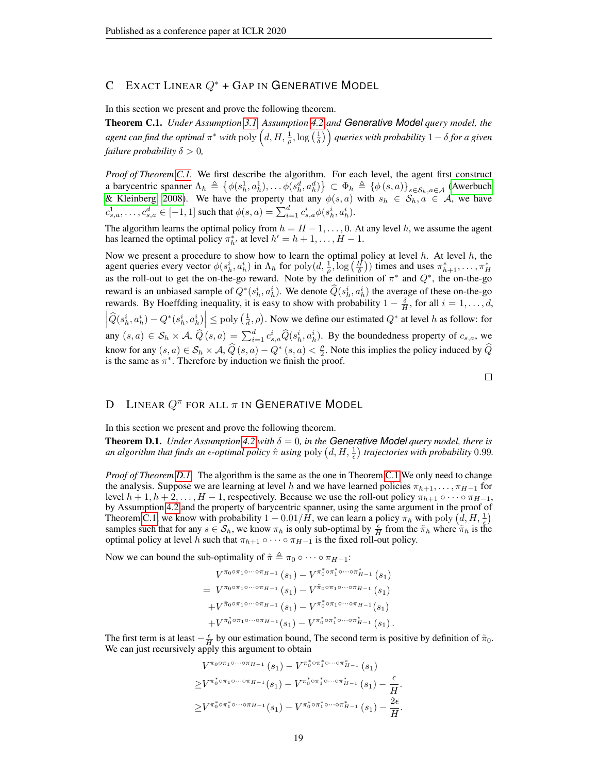# C EXACT LINEAR  $Q^*$  + GAP IN GENERATIVE MODEL

In this section we present and prove the following theorem.

<span id="page-18-0"></span>Theorem C.1. *Under Assumption [3.1,](#page-5-2) Assumption [4.2](#page-6-3) and Generative Model query model, the*  $a$ gent can find the optimal  $\pi^*$  with  $\operatorname{poly}\left(d,H,\frac{1}{\rho},\log\left(\frac{1}{\delta}\right)\right)$  queries with probability  $1-\delta$  for a given *failure probability*  $\delta > 0$ *,* 

*Proof of Theorem [C.1.](#page-18-0)* We first describe the algorithm. For each level, the agent first construct a barycentric spanner  $\Lambda_h \triangleq \{ \phi(s_h^1, a_h^1), \dots \phi(s_h^d, a_h^d) \} \subset \Phi_h \triangleq \{ \phi(s, a) \}_{s \in S_h, a \in \mathcal{A}}$  [\(Awerbuch](#page-9-6) [& Kleinberg, 2008\)](#page-9-6). We have the property that any  $\phi(s, a)$  with  $s_h \in S_h, a \in A$ , we have  $c^1_{s,a}, \ldots, c^d_{s,a} \in [-1,1]$  such that  $\phi(s,a) = \sum_{i=1}^d c^i_{s,a} \phi(s^i_h, a^i_h)$ .

The algorithm learns the optimal policy from  $h = H - 1, \ldots, 0$ . At any level h, we assume the agent has learned the optimal policy  $\pi^*_{h'}$  at level  $h' = h + 1, \dots, H - 1$ .

Now we present a procedure to show how to learn the optimal policy at level  $h$ . At level  $h$ , the agent queries every vector  $\phi(s_h^i, a_h^i)$  in  $\Lambda_h$  for  $\text{poly}(d, \frac{1}{\rho}, \log(\frac{H}{\delta}))$  times and uses  $\pi_{h+1}^*, \ldots, \pi_H^*$ as the roll-out to get the on-the-go reward. Note by the definition of  $\pi^*$  and  $Q^*$ , the on-the-go reward is an unbiased sample of  $Q^*(s_h^i, a_h^i)$ . We denote  $\widehat{Q}(s_h^i, a_h^i)$  the average of these on-the-go rewards. By Hoeffding inequality, it is easy to show with probability  $1 - \frac{\delta}{H}$ , for all  $i = 1, \ldots, d$ ,  $\left|\hat{Q}(s_h^i, a_h^i) - Q^*(s_h^i, a_h^i)\right| \le \text{poly}\left(\frac{1}{d}, \rho\right)$ . Now we define our estimated  $Q^*$  at level h as follow: for any  $(s, a) \in S_h \times A$ ,  $\widehat{Q}(s, a) = \sum_{i=1}^d c_{s,a}^i \widehat{Q}(s_h^i, a_h^i)$ . By the boundedness property of  $c_{s,a}$ , we know for any  $(s, a) \in S_h \times A$ ,  $\widehat{Q}(s, a) - Q^*(s, a) < \frac{\rho}{2}$  $\frac{\rho}{2}$ . Note this implies the policy induced by Q is the same as  $\pi^*$ . Therefore by induction we finish the proof.

## $\Box$

# D LINEAR  $Q^{\pi}$  for all  $\pi$  in Generative Model

In this section we present and prove the following theorem.

<span id="page-18-1"></span>**Theorem D.1.** *Under Assumption* [4.2](#page-6-3) *with*  $\delta = 0$ *, in the Generative Model query model, there is* an algorithm that finds an  $\epsilon$ -optimal policy  $\hat{\pi}$  using  $\text{poly}\left(d,H,\frac{1}{\epsilon}\right)$  trajectories with probability 0.99.

*Proof of Theorem [D.1.](#page-18-1)* The algorithm is the same as the one in Theorem [C.1](#page-18-0) We only need to change the analysis. Suppose we are learning at level h and we have learned policies  $\pi_{h+1}, \ldots, \pi_{H-1}$  for level  $h + 1, h + 2, \ldots, H - 1$ , respectively. Because we use the roll-out policy  $\pi_{h+1} \circ \cdots \circ \pi_{H-1}$ , by Assumption [4.2](#page-6-3) and the property of barycentric spanner, using the same argument in the proof of Theorem [C.1,](#page-18-0) we know with probability  $1 - 0.01/\hat{H}$ , we can learn a policy  $\pi_h$  with poly  $(\hat{d}, H, \frac{1}{\epsilon})$ samples such that for any  $s \in S_h$ , we know  $\pi_h$  is only sub-optimal by  $\frac{\epsilon}{H}$  from the  $\tilde{\pi}_h$  where  $\tilde{\pi}_h$  is the optimal policy at level h such that  $\pi_{h+1} \circ \cdots \circ \pi_{H-1}$  is the fixed roll-out policy.

Now we can bound the sub-optimality of  $\hat{\pi} \triangleq \pi_0 \circ \cdots \circ \pi_{H-1}$ :

$$
V^{\pi_0 \circ \pi_1 \circ \cdots \circ \pi_{H-1}}(s_1) - V^{\pi_0^* \circ \pi_1^* \circ \cdots \circ \pi_{H-1}^*}(s_1)
$$
  
= 
$$
V^{\pi_0 \circ \pi_1 \circ \cdots \circ \pi_{H-1}}(s_1) - V^{\tilde{\pi}_0 \circ \pi_1 \circ \cdots \circ \pi_{H-1}}(s_1)
$$
  
+ 
$$
V^{\tilde{\pi}_0 \circ \pi_1 \circ \cdots \circ \pi_{H-1}}(s_1) - V^{\pi_0^* \circ \pi_1 \circ \cdots \circ \pi_{H-1}}(s_1)
$$
  
+ 
$$
V^{\pi_0^* \circ \pi_1 \circ \cdots \circ \pi_{H-1}}(s_1) - V^{\pi_0^* \circ \pi_1^* \circ \cdots \circ \pi_{H-1}^*}(s_1).
$$

The first term is at least  $-\frac{\epsilon}{H}$  by our estimation bound, The second term is positive by definition of  $\tilde{\pi}_0$ . We can just recursively apply this argument to obtain

$$
V^{\pi_0 \circ \pi_1 \circ \cdots \circ \pi_{H-1}}(s_1) - V^{\pi_0^* \circ \pi_1^* \circ \cdots \circ \pi_{H-1}^*}(s_1)
$$
  
\n
$$
\geq V^{\pi_0^* \circ \pi_1 \circ \cdots \circ \pi_{H-1}}(s_1) - V^{\pi_0^* \circ \pi_1^* \circ \cdots \circ \pi_{H-1}^*}(s_1) - \frac{\epsilon}{H}.
$$
  
\n
$$
\geq V^{\pi_0^* \circ \pi_1^* \circ \cdots \circ \pi_{H-1}}(s_1) - V^{\pi_0^* \circ \pi_1^* \circ \cdots \circ \pi_{H-1}^*}(s_1) - \frac{2\epsilon}{H}.
$$